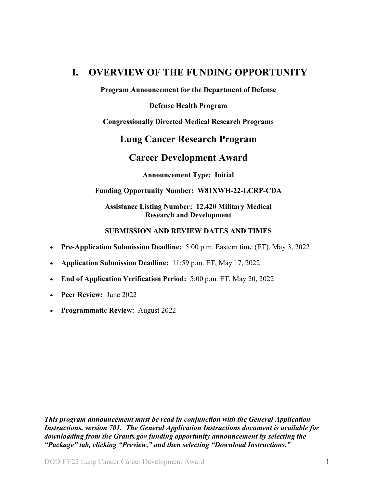## <span id="page-0-0"></span>**I. OVERVIEW OF THE FUNDING OPPORTUNITY**

**Program Announcement for the Department of Defense**

**Defense Health Program**

**Congressionally Directed Medical Research Programs**

### **Lung Cancer Research Program**

### **Career Development Award**

**Announcement Type: Initial** 

#### **Funding Opportunity Number: W81XWH-22-LCRP-CDA**

#### **Assistance Listing Number: 12.420 Military Medical Research and Development**

#### **SUBMISSION AND REVIEW DATES AND TIMES**

- <span id="page-0-1"></span>• **Pre-Application Submission Deadline:** 5:00 p.m. Eastern time (ET), May 3, 2022
- **Application Submission Deadline:** 11:59 p.m. ET, May 17, 2022
- **End of Application Verification Period:** 5:00 p.m. ET, May 20, 2022
- **Peer Review:** June 2022
- **Programmatic Review:** August 2022

*This program announcement must be read in conjunction with the General Application Instructions, version 701.**The General Application Instructions document is available for downloading from the Grants.gov funding opportunity announcement by selecting the "Package" tab, clicking "Preview," and then selecting "Download Instructions."*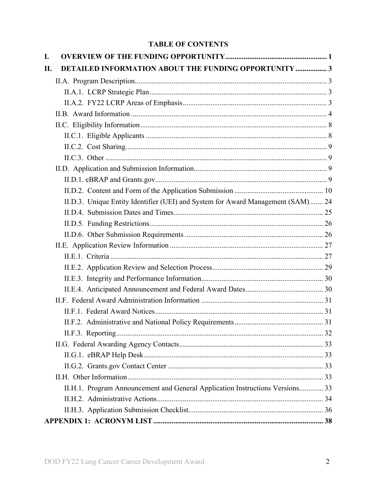### **TABLE OF CONTENTS**

| I.  |                                                                                  |  |
|-----|----------------------------------------------------------------------------------|--|
| II. | <b>DETAILED INFORMATION ABOUT THE FUNDING OPPORTUNITY  3</b>                     |  |
|     |                                                                                  |  |
|     |                                                                                  |  |
|     |                                                                                  |  |
|     |                                                                                  |  |
|     |                                                                                  |  |
|     |                                                                                  |  |
|     |                                                                                  |  |
|     |                                                                                  |  |
|     |                                                                                  |  |
|     |                                                                                  |  |
|     |                                                                                  |  |
|     | II.D.3. Unique Entity Identifier (UEI) and System for Award Management (SAM)  24 |  |
|     |                                                                                  |  |
|     |                                                                                  |  |
|     |                                                                                  |  |
|     |                                                                                  |  |
|     |                                                                                  |  |
|     |                                                                                  |  |
|     |                                                                                  |  |
|     |                                                                                  |  |
|     |                                                                                  |  |
|     |                                                                                  |  |
|     |                                                                                  |  |
|     |                                                                                  |  |
|     |                                                                                  |  |
|     |                                                                                  |  |
|     |                                                                                  |  |
|     |                                                                                  |  |
|     | II.H.1. Program Announcement and General Application Instructions Versions 33    |  |
|     |                                                                                  |  |
|     |                                                                                  |  |
|     |                                                                                  |  |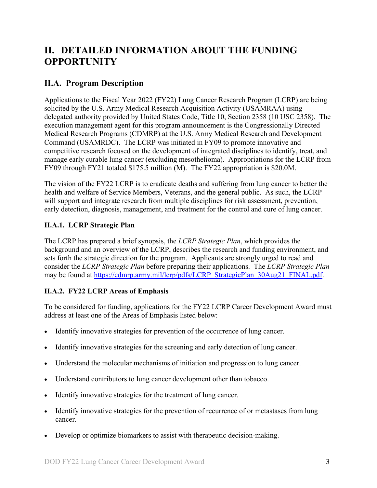# <span id="page-2-0"></span>**II. DETAILED INFORMATION ABOUT THE FUNDING OPPORTUNITY**

## <span id="page-2-1"></span>**II.A. Program Description**

Applications to the Fiscal Year 2022 (FY22) Lung Cancer Research Program (LCRP) are being solicited by the U.S. Army Medical Research Acquisition Activity (USAMRAA) using delegated authority provided by United States Code, Title 10, Section 2358 (10 USC 2358). The execution management agent for this program announcement is the Congressionally Directed Medical Research Programs (CDMRP) at the U.S. Army Medical Research and Development Command (USAMRDC). The LCRP was initiated in FY09 to promote innovative and competitive research focused on the development of integrated disciplines to identify, treat, and manage early curable lung cancer (excluding mesothelioma). Appropriations for the LCRP from FY09 through FY21 totaled \$175.5 million (M). The FY22 appropriation is \$20.0M.

The vision of the FY22 LCRP is to eradicate deaths and suffering from lung cancer to better the health and welfare of Service Members, Veterans, and the general public. As such, the LCRP will support and integrate research from multiple disciplines for risk assessment, prevention, early detection, diagnosis, management, and treatment for the control and cure of lung cancer.

#### <span id="page-2-2"></span>**II.A.1. LCRP Strategic Plan**

The LCRP has prepared a brief synopsis, the *LCRP Strategic Plan*, which provides the background and an overview of the LCRP, describes the research and funding environment, and sets forth the strategic direction for the program. Applicants are strongly urged to read and consider the *LCRP Strategic Plan* before preparing their applications. The *LCRP Strategic Plan* may be found at [https://cdmrp.army.mil/lcrp/pdfs/LCRP\\_StrategicPlan\\_30Aug21\\_FINAL.pdf.](https://cdmrp.army.mil/lcrp/pdfs/LCRP_StrategicPlan_30Aug21_FINAL.pdf)

#### <span id="page-2-3"></span>**II.A.2. FY22 LCRP Areas of Emphasis**

To be considered for funding, applications for the FY22 LCRP Career Development Award must address at least one of the Areas of Emphasis listed below:

- Identify innovative strategies for prevention of the occurrence of lung cancer.
- Identify innovative strategies for the screening and early detection of lung cancer.
- Understand the molecular mechanisms of initiation and progression to lung cancer.
- Understand contributors to lung cancer development other than tobacco.
- Identify innovative strategies for the treatment of lung cancer.
- Identify innovative strategies for the prevention of recurrence of or metastases from lung cancer.
- Develop or optimize biomarkers to assist with therapeutic decision-making.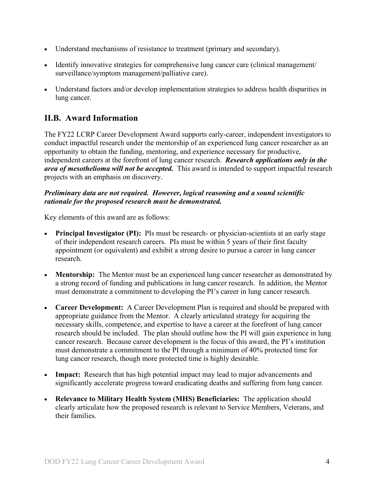- Understand mechanisms of resistance to treatment (primary and secondary).
- Identify innovative strategies for comprehensive lung cancer care (clinical management/ surveillance/symptom management/palliative care).
- Understand factors and/or develop implementation strategies to address health disparities in lung cancer.

## <span id="page-3-0"></span>**II.B. Award Information**

The FY22 LCRP Career Development Award supports early-career, independent investigators to conduct impactful research under the mentorship of an experienced lung cancer researcher as an opportunity to obtain the funding, mentoring, and experience necessary for productive, independent careers at the forefront of lung cancer research. *Research applications only in the area of mesothelioma will not be accepted.* This award is intended to support impactful research projects with an emphasis on discovery.

#### *Preliminary data are not required. However, logical reasoning and a sound scientific rationale for the proposed research must be demonstrated.*

Key elements of this award are as follows:

- **Principal Investigator (PI):** PIs must be research- or physician-scientists at an early stage of their independent research careers. PIs must be within 5 years of their first faculty appointment (or equivalent) and exhibit a strong desire to pursue a career in lung cancer research.
- **Mentorship:** The Mentor must be an experienced lung cancer researcher as demonstrated by a strong record of funding and publications in lung cancer research. In addition, the Mentor must demonstrate a commitment to developing the PI's career in lung cancer research.
- **Career Development:** A Career Development Plan is required and should be prepared with appropriate guidance from the Mentor. A clearly articulated strategy for acquiring the necessary skills, competence, and expertise to have a career at the forefront of lung cancer research should be included. The plan should outline how the PI will gain experience in lung cancer research. Because career development is the focus of this award, the PI's institution must demonstrate a commitment to the PI through a minimum of 40% protected time for lung cancer research, though more protected time is highly desirable.
- **Impact:** Research that has high potential impact may lead to major advancements and significantly accelerate progress toward eradicating deaths and suffering from lung cancer.
- **Relevance to Military Health System (MHS) Beneficiaries:** The application should clearly articulate how the proposed research is relevant to Service Members, Veterans, and their families.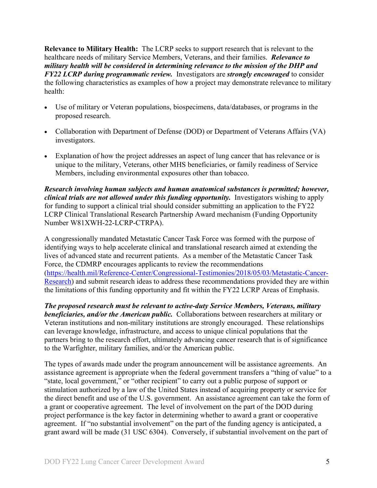**Relevance to Military Health:** The LCRP seeks to support research that is relevant to the healthcare needs of military Service Members, Veterans, and their families. *Relevance to military health will be considered in determining relevance to the mission of the DHP and FY22 LCRP during programmatic review.* Investigators are *strongly encouraged* to consider the following characteristics as examples of how a project may demonstrate relevance to military health:

- Use of military or Veteran populations, biospecimens, data/databases, or programs in the proposed research.
- Collaboration with Department of Defense (DOD) or Department of Veterans Affairs (VA) investigators.
- Explanation of how the project addresses an aspect of lung cancer that has relevance or is unique to the military, Veterans, other MHS beneficiaries, or family readiness of Service Members, including environmental exposures other than tobacco.

*Research involving human subjects and human anatomical substances is permitted; however, clinical trials are not allowed under this funding opportunity.* Investigators wishing to apply for funding to support a clinical trial should consider submitting an application to the FY22 LCRP Clinical Translational Research Partnership Award mechanism (Funding Opportunity Number W81XWH-22-LCRP-CTRPA).

A congressionally mandated Metastatic Cancer Task Force was formed with the purpose of identifying ways to help accelerate clinical and translational research aimed at extending the lives of advanced state and recurrent patients. As a member of the Metastatic Cancer Task Force, the CDMRP encourages applicants to review the recommendations [\(https://health.mil/Reference-Center/Congressional-Testimonies/2018/05/03/Metastatic-Cancer-](https://www.health.mil/Reference-Center/Congressional-Testimonies?refVector=00100000000000&refSrc=130)[Research\)](https://www.health.mil/Reference-Center/Congressional-Testimonies?refVector=00100000000000&refSrc=130) and submit research ideas to address these recommendations provided they are within the limitations of this funding opportunity and fit within the FY22 LCRP Areas of Emphasis.

*The proposed research must be relevant to active-duty Service Members, Veterans, military beneficiaries, and/or the American public.* Collaborations between researchers at military or Veteran institutions and non-military institutions are strongly encouraged. These relationships can leverage knowledge, infrastructure, and access to unique clinical populations that the partners bring to the research effort, ultimately advancing cancer research that is of significance to the Warfighter, military families, and/or the American public.

The types of awards made under the program announcement will be assistance agreements. An assistance agreement is appropriate when the federal government transfers a "thing of value" to a "state, local government," or "other recipient" to carry out a public purpose of support or stimulation authorized by a law of the United States instead of acquiring property or service for the direct benefit and use of the U.S. government. An assistance agreement can take the form of a grant or cooperative agreement. The level of involvement on the part of the DOD during project performance is the key factor in determining whether to award a grant or cooperative agreement. If "no substantial involvement" on the part of the funding agency is anticipated, a grant award will be made (31 USC 6304). Conversely, if substantial involvement on the part of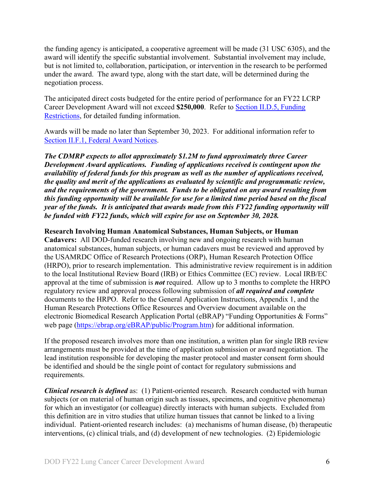the funding agency is anticipated, a cooperative agreement will be made (31 USC 6305), and the award will identify the specific substantial involvement. Substantial involvement may include, but is not limited to, collaboration, participation, or intervention in the research to be performed under the award. The award type, along with the start date, will be determined during the negotiation process.

The anticipated direct costs budgeted for the entire period of performance for an FY22 LCRP Career Development Award will not exceed **\$250,000**. Refer to Section [II.D.5, Funding](#page-25-0)  [Restrictions,](#page-25-0) for detailed funding information.

Awards will be made no later than September 30, 2023. For additional information refer to [Section II.F.1, Federal Award Notices.](#page-30-1)

*The CDMRP expects to allot approximately \$1.2M to fund approximately three Career Development Award applications. Funding of applications received is contingent upon the availability of federal funds for this program as well as the number of applications received, the quality and merit of the applications as evaluated by scientific and programmatic review, and the requirements of the government. Funds to be obligated on any award resulting from this funding opportunity will be available for use for a limited time period based on the fiscal year of the funds. It is anticipated that awards made from this FY22 funding opportunity will be funded with FY22 funds, which will expire for use on September 30, 2028.*

#### **Research Involving Human Anatomical Substances, Human Subjects, or Human**

**Cadavers:** All DOD-funded research involving new and ongoing research with human anatomical substances, human subjects, or human cadavers must be reviewed and approved by the USAMRDC Office of Research Protections (ORP), Human Research Protection Office (HRPO), prior to research implementation. This administrative review requirement is in addition to the local Institutional Review Board (IRB) or Ethics Committee (EC) review. Local IRB/EC approval at the time of submission is *not* required. Allow up to 3 months to complete the HRPO regulatory review and approval process following submission of *all required and complete* documents to the HRPO. Refer to the General Application Instructions, Appendix 1, and the Human Research Protections Office Resources and Overview document available on the electronic Biomedical Research Application Portal (eBRAP) "Funding Opportunities & Forms" web page [\(https://ebrap.org/eBRAP/public/Program.htm\)](https://ebrap.org/eBRAP/public/Program.htm) for additional information.

If the proposed research involves more than one institution, a written plan for single IRB review arrangements must be provided at the time of application submission or award negotiation. The lead institution responsible for developing the master protocol and master consent form should be identified and should be the single point of contact for regulatory submissions and requirements.

*Clinical research is defined* as: (1) Patient-oriented research. Research conducted with human subjects (or on material of human origin such as tissues, specimens, and cognitive phenomena) for which an investigator (or colleague) directly interacts with human subjects. Excluded from this definition are in vitro studies that utilize human tissues that cannot be linked to a living individual. Patient-oriented research includes: (a) mechanisms of human disease, (b) therapeutic interventions, (c) clinical trials, and (d) development of new technologies. (2) Epidemiologic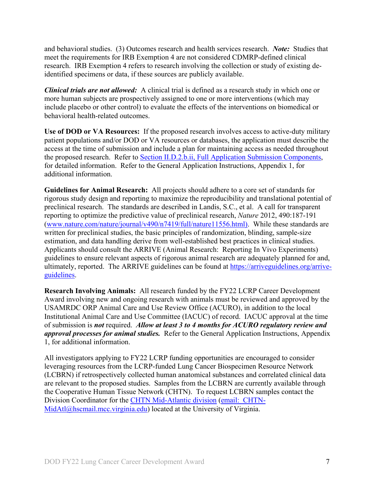and behavioral studies. (3) Outcomes research and health services research. *Note:* Studies that meet the requirements for IRB Exemption 4 are not considered CDMRP-defined clinical research. IRB Exemption 4 refers to research involving the collection or study of existing deidentified specimens or data, if these sources are publicly available.

*Clinical trials are not allowed:* A clinical trial is defined as a research study in which one or more human subjects are prospectively assigned to one or more interventions (which may include placebo or other control) to evaluate the effects of the interventions on biomedical or behavioral health-related outcomes.

**Use of DOD or VA Resources:** If the proposed research involves access to active-duty military patient populations and/or DOD or VA resources or databases, the application must describe the access at the time of submission and include a plan for maintaining access as needed throughout the proposed research. Refer to Section [II.D.2.b.ii, Full Application Submission Components,](#page-14-0) for detailed information. Refer to the General Application Instructions, Appendix 1, for additional information.

**Guidelines for Animal Research:** All projects should adhere to a core set of standards for rigorous study design and reporting to maximize the reproducibility and translational potential of preclinical research. The standards are described in Landis, S.C., et al. A call for transparent reporting to optimize the predictive value of preclinical research, *Nature* 2012, 490:187-191 [\(www.nature.com/nature/journal/v490/n7419/full/nature11556.html\)](http://www.nature.com/nature/journal/v490/n7419/full/nature11556.html). While these standards are written for preclinical studies, the basic principles of randomization, blinding, sample-size estimation, and data handling derive from well-established best practices in clinical studies. Applicants should consult the ARRIVE (Animal Research: Reporting In Vivo Experiments) guidelines to ensure relevant aspects of rigorous animal research are adequately planned for and, ultimately, reported. The ARRIVE guidelines can be found at [https://arriveguidelines.org/arrive](https://arriveguidelines.org/arrive-guidelines)[guidelines.](https://arriveguidelines.org/arrive-guidelines)

**Research Involving Animals:** All research funded by the FY22 LCRP Career Development Award involving new and ongoing research with animals must be reviewed and approved by the USAMRDC ORP Animal Care and Use Review Office (ACURO), in addition to the local Institutional Animal Care and Use Committee (IACUC) of record. IACUC approval at the time of submission is *not* required. *Allow at least 3 to 4 months for ACURO regulatory review and approval processes for animal studies.* Refer to the General Application Instructions, Appendix 1, for additional information.

All investigators applying to FY22 LCRP funding opportunities are encouraged to consider leveraging resources from the LCRP-funded Lung Cancer Biospecimen Resource Network (LCBRN) if retrospectively collected human anatomical substances and correlated clinical data are relevant to the proposed studies. Samples from the LCBRN are currently available through the Cooperative Human Tissue Network (CHTN). To request LCBRN samples contact the Division Coordinator for the [CHTN Mid-Atlantic division](https://www.chtn.org/about/divisions.html) (email: [CHTN-](mailto:CHTN-MidAtl@hscmail.mcc.virginia.edu)[MidAtl@hscmail.mcc.virginia.edu\)](mailto:CHTN-MidAtl@hscmail.mcc.virginia.edu) located at the University of Virginia.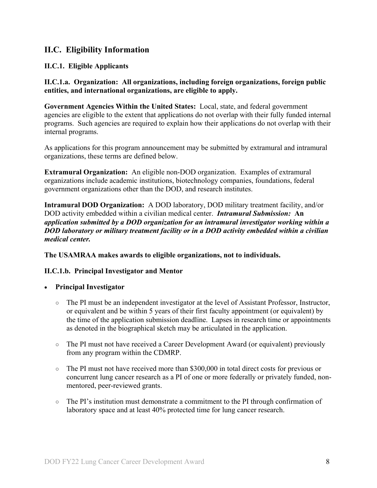### <span id="page-7-0"></span>**II.C. Eligibility Information**

#### <span id="page-7-1"></span>**II.C.1. Eligible Applicants**

**II.C.1.a. Organization: All organizations, including foreign organizations, foreign public entities, and international organizations, are eligible to apply.** 

**Government Agencies Within the United States:** Local, state, and federal government agencies are eligible to the extent that applications do not overlap with their fully funded internal programs. Such agencies are required to explain how their applications do not overlap with their internal programs.

As applications for this program announcement may be submitted by extramural and intramural organizations, these terms are defined below.

**Extramural Organization:** An eligible non-DOD organization. Examples of extramural organizations include academic institutions, biotechnology companies, foundations, federal government organizations other than the DOD, and research institutes.

**Intramural DOD Organization:** A DOD laboratory, DOD military treatment facility, and/or DOD activity embedded within a civilian medical center. *Intramural Submission:* **An**  *application submitted by a DOD organization for an intramural investigator working within a DOD laboratory or military treatment facility or in a DOD activity embedded within a civilian medical center.*

**The USAMRAA makes awards to eligible organizations, not to individuals.**

#### **II.C.1.b. Principal Investigator and Mentor**

#### • **Principal Investigator**

- The PI must be an independent investigator at the level of Assistant Professor, Instructor, or equivalent and be within 5 years of their first faculty appointment (or equivalent) by the time of the application submission deadline. Lapses in research time or appointments as denoted in the biographical sketch may be articulated in the application.
- The PI must not have received a Career Development Award (or equivalent) previously from any program within the CDMRP.
- $\circ$  The PI must not have received more than \$300,000 in total direct costs for previous or concurrent lung cancer research as a PI of one or more federally or privately funded, nonmentored, peer-reviewed grants.
- The PI's institution must demonstrate a commitment to the PI through confirmation of laboratory space and at least 40% protected time for lung cancer research.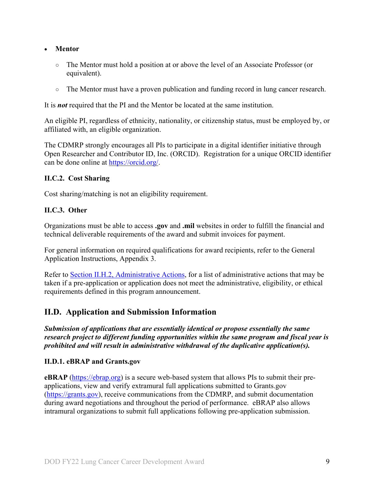#### • **Mentor**

- The Mentor must hold a position at or above the level of an Associate Professor (or equivalent).
- The Mentor must have a proven publication and funding record in lung cancer research.

It is *not* required that the PI and the Mentor be located at the same institution.

An eligible PI, regardless of ethnicity, nationality, or citizenship status, must be employed by, or affiliated with, an eligible organization.

The CDMRP strongly encourages all PIs to participate in a digital identifier initiative through Open Researcher and Contributor ID, Inc. (ORCID). Registration for a unique ORCID identifier can be done online at [https://orcid.org/.](https://orcid.org/)

#### <span id="page-8-0"></span>**II.C.2. Cost Sharing**

Cost sharing/matching is not an eligibility requirement.

#### <span id="page-8-1"></span>**II.C.3. Other**

Organizations must be able to access **.gov** and **.mil** websites in order to fulfill the financial and technical deliverable requirements of the award and submit invoices for payment.

For general information on required qualifications for award recipients, refer to the General Application Instructions, Appendix 3.

Refer to [Section II.H.2, Administrative Actions,](#page-33-0) for a list of administrative actions that may be taken if a pre-application or application does not meet the administrative, eligibility, or ethical requirements defined in this program announcement.

#### <span id="page-8-2"></span>**II.D. Application and Submission Information**

*Submission of applications that are essentially identical or propose essentially the same research project to different funding opportunities within the same program and fiscal year is prohibited and will result in administrative withdrawal of the duplicative application(s).*

#### <span id="page-8-3"></span>**II.D.1. eBRAP and Grants.gov**

**eBRAP** [\(https://ebrap.org\)](https://ebrap.org/) is a secure web-based system that allows PIs to submit their preapplications, view and verify extramural full applications submitted to Grants.gov [\(https://grants.gov\)](https://grants.gov/), receive communications from the CDMRP, and submit documentation during award negotiations and throughout the period of performance. eBRAP also allows intramural organizations to submit full applications following pre-application submission.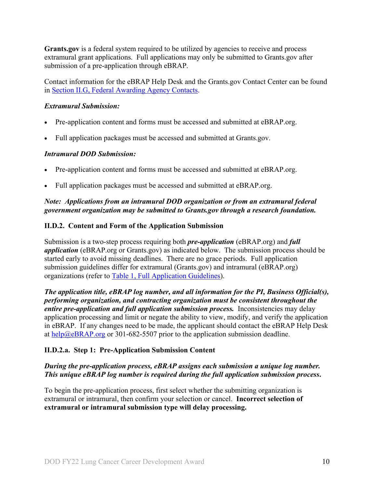**Grants.gov** is a federal system required to be utilized by agencies to receive and process extramural grant applications. Full applications may only be submitted to Grants.gov after submission of a pre-application through eBRAP.

Contact information for the eBRAP Help Desk and the Grants.gov Contact Center can be found in [Section II.G, Federal Awarding Agency Contacts.](#page-32-0)

#### *Extramural Submission:*

- Pre-application content and forms must be accessed and submitted at eBRAP.org.
- Full application packages must be accessed and submitted at Grants.gov.

#### *Intramural DOD Submission:*

- Pre-application content and forms must be accessed and submitted at eBRAP.org.
- Full application packages must be accessed and submitted at eBRAP.org.

#### *Note: Applications from an intramural DOD organization or from an extramural federal government organization may be submitted to Grants.gov through a research foundation.*

#### <span id="page-9-0"></span>**II.D.2. Content and Form of the Application Submission**

Submission is a two-step process requiring both *pre-application* (eBRAP.org) and *full application* (eBRAP.org or Grants.gov) as indicated below. The submission process should be started early to avoid missing deadlines. There are no grace periods. Full application submission guidelines differ for extramural (Grants.gov) and intramural (eBRAP.org) organizations (refer to [Table 1, Full Application Guidelines\)](#page-12-0).

*The application title, eBRAP log number, and all information for the PI, Business Official(s), performing organization, and contracting organization must be consistent throughout the entire pre-application and full application submission process.* Inconsistencies may delay application processing and limit or negate the ability to view, modify, and verify the application in eBRAP. If any changes need to be made, the applicant should contact the eBRAP Help Desk at [help@eBRAP.org](mailto:help@eBRAP.org) or 301-682-5507 prior to the application submission deadline.

#### **II.D.2.a. Step 1: Pre-Application Submission Content**

#### *During the pre-application process, eBRAP assigns each submission a unique log number. This unique eBRAP log number is required during the full application submission process***.**

To begin the pre-application process, first select whether the submitting organization is extramural or intramural, then confirm your selection or cancel. **Incorrect selection of extramural or intramural submission type will delay processing.**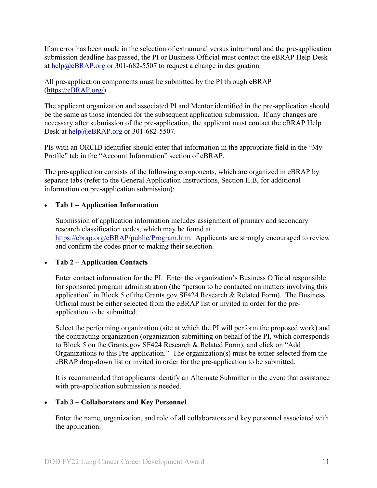If an error has been made in the selection of extramural versus intramural and the pre-application submission deadline has passed, the PI or Business Official must contact the eBRAP Help Desk at [help@eBRAP.org](mailto:help@eBRAP.org) or 301-682-5507 to request a change in designation.

All pre-application components must be submitted by the PI through eBRAP [\(https://eBRAP.org/\)](https://ebrap.org/).

The applicant organization and associated PI and Mentor identified in the pre-application should be the same as those intended for the subsequent application submission. If any changes are necessary after submission of the pre-application, the applicant must contact the eBRAP Help Desk at  $\frac{help@eBRAP.org}{0.098}$  or 301-682-5507.

PIs with an ORCID identifier should enter that information in the appropriate field in the "My Profile" tab in the "Account Information" section of eBRAP.

The pre-application consists of the following components, which are organized in eBRAP by separate tabs (refer to the General Application Instructions, Section II.B, for additional information on pre-application submission):

#### • **Tab 1 – Application Information**

Submission of application information includes assignment of primary and secondary research classification codes, which may be found at [https://ebrap.org/eBRAP/public/Program.htm.](https://ebrap.org/eBRAP/public/Program.htm) Applicants are strongly encouraged to review and confirm the codes prior to making their selection.

#### • **Tab 2 – Application Contacts**

Enter contact information for the PI. Enter the organization's Business Official responsible for sponsored program administration (the "person to be contacted on matters involving this application" in Block 5 of the Grants.gov SF424 Research & Related Form). The Business Official must be either selected from the eBRAP list or invited in order for the preapplication to be submitted.

Select the performing organization (site at which the PI will perform the proposed work) and the contracting organization (organization submitting on behalf of the PI, which corresponds to Block 5 on the Grants.gov SF424 Research & Related Form), and click on "Add Organizations to this Pre-application." The organization(s) must be either selected from the eBRAP drop-down list or invited in order for the pre-application to be submitted.

It is recommended that applicants identify an Alternate Submitter in the event that assistance with pre-application submission is needed.

#### • **Tab 3 – Collaborators and Key Personnel**

Enter the name, organization, and role of all collaborators and key personnel associated with the application.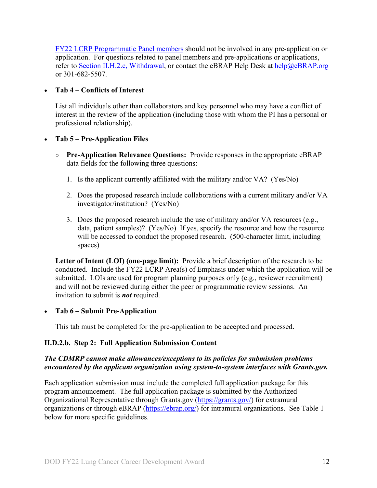[FY22 LCRP Programmatic Panel members](http://cdmrp.army.mil/lcrp/panels/panels22) should not be involved in any pre-application or application. For questions related to panel members and pre-applications or applications, refer to [Section II.H.2.c, Withdrawal,](#page-33-1) or contact the eBRAP Help Desk at [help@eBRAP.org](mailto:help@eBRAP.org) or 301-682-5507.

#### • **Tab 4 – Conflicts of Interest**

List all individuals other than collaborators and key personnel who may have a conflict of interest in the review of the application (including those with whom the PI has a personal or professional relationship).

#### • **Tab 5 – Pre-Application Files**

- **Pre-Application Relevance Questions:** Provide responses in the appropriate eBRAP data fields for the following three questions:
	- 1. Is the applicant currently affiliated with the military and/or VA? (Yes/No)
	- 2. Does the proposed research include collaborations with a current military and/or VA investigator/institution? (Yes/No)
	- 3. Does the proposed research include the use of military and/or VA resources (e.g., data, patient samples)? (Yes/No) If yes, specify the resource and how the resource will be accessed to conduct the proposed research. (500-character limit, including spaces)

**Letter of Intent (LOI) (one-page limit):** Provide a brief description of the research to be conducted. Include the FY22 LCRP Area(s) of Emphasis under which the application will be submitted. LOIs are used for program planning purposes only (e.g., reviewer recruitment) and will not be reviewed during either the peer or programmatic review sessions. An invitation to submit is *not* required.

#### • **Tab 6 – Submit Pre-Application**

This tab must be completed for the pre-application to be accepted and processed.

#### **II.D.2.b. Step 2: Full Application Submission Content**

#### *The CDMRP cannot make allowances/exceptions to its policies for submission problems encountered by the applicant organization using system-to-system interfaces with Grants.gov.*

Each application submission must include the completed full application package for this program announcement. The full application package is submitted by the Authorized Organizational Representative through Grants.gov [\(https://grants.gov/\)](https://www.grants.gov/) for extramural organizations or through eBRAP [\(https://ebrap.org/\)](https://ebrap.org/) for intramural organizations. See Table 1 below for more specific guidelines.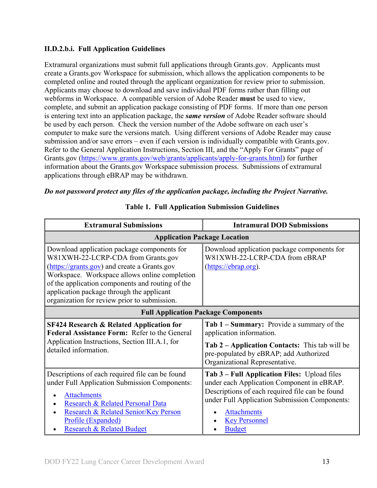#### **II.D.2.b.i. Full Application Guidelines**

Extramural organizations must submit full applications through Grants.gov. Applicants must create a Grants.gov Workspace for submission, which allows the application components to be completed online and routed through the applicant organization for review prior to submission. Applicants may choose to download and save individual PDF forms rather than filling out webforms in Workspace. A compatible version of Adobe Reader **must** be used to view, complete, and submit an application package consisting of PDF forms. If more than one person is entering text into an application package, the *same version* of Adobe Reader software should be used by each person. Check the version number of the Adobe software on each user's computer to make sure the versions match. Using different versions of Adobe Reader may cause submission and/or save errors – even if each version is individually compatible with Grants.gov. Refer to the General Application Instructions, Section III, and the "Apply For Grants" page of Grants.gov [\(https://www.grants.gov/web/grants/applicants/apply-for-grants.html\)](https://www.grants.gov/web/grants/applicants/apply-for-grants.html) for further information about the Grants.gov Workspace submission process. Submissions of extramural applications through eBRAP may be withdrawn.

#### <span id="page-12-0"></span>*Do not password protect any files of the application package, including the Project Narrative.*

| <b>Extramural Submissions</b>                                                                                                                                                                                                                                                                                                       | <b>Intramural DOD Submissions</b>                                                                                                                                                                                                                             |  |  |
|-------------------------------------------------------------------------------------------------------------------------------------------------------------------------------------------------------------------------------------------------------------------------------------------------------------------------------------|---------------------------------------------------------------------------------------------------------------------------------------------------------------------------------------------------------------------------------------------------------------|--|--|
| <b>Application Package Location</b>                                                                                                                                                                                                                                                                                                 |                                                                                                                                                                                                                                                               |  |  |
| Download application package components for<br>W81XWH-22-LCRP-CDA from Grants.gov<br>(https://grants.gov) and create a Grants.gov<br>Workspace. Workspace allows online completion<br>of the application components and routing of the<br>application package through the applicant<br>organization for review prior to submission. | Download application package components for<br>W81XWH-22-LCRP-CDA from eBRAP<br>(https://ebrap.org).                                                                                                                                                          |  |  |
| <b>Full Application Package Components</b>                                                                                                                                                                                                                                                                                          |                                                                                                                                                                                                                                                               |  |  |
| <b>SF424 Research &amp; Related Application for</b><br>Federal Assistance Form: Refer to the General<br>Application Instructions, Section III.A.1, for<br>detailed information.                                                                                                                                                     | Tab 1 – Summary: Provide a summary of the<br>application information.<br>Tab 2 - Application Contacts: This tab will be<br>pre-populated by eBRAP; add Authorized<br>Organizational Representative.                                                           |  |  |
| Descriptions of each required file can be found<br>under Full Application Submission Components:<br><b>Attachments</b><br>Research & Related Personal Data<br>Research & Related Senior/Key Person<br>Profile (Expanded)<br><b>Research &amp; Related Budget</b>                                                                    | Tab 3 – Full Application Files: Upload files<br>under each Application Component in eBRAP.<br>Descriptions of each required file can be found<br>under Full Application Submission Components:<br><b>Attachments</b><br><b>Key Personnel</b><br><b>Budget</b> |  |  |

#### **Table 1. Full Application Submission Guidelines**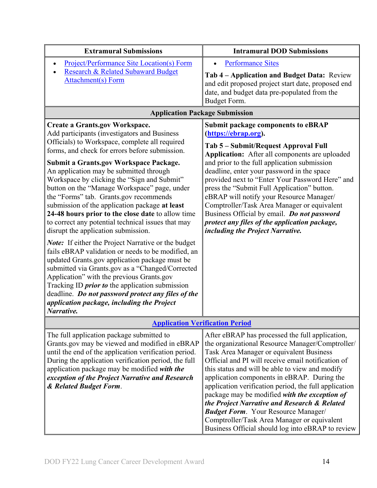| <b>Extramural Submissions</b>                                                                                                                                                                                                                                                                                                                                                                                                                                                                                                                                                                                                                                                                                                                                                                                                                                                                                                                                                                                                                                                         | <b>Intramural DOD Submissions</b>                                                                                                                                                                                                                                                                                                                                                                                                                                                                                                                                                                                   |
|---------------------------------------------------------------------------------------------------------------------------------------------------------------------------------------------------------------------------------------------------------------------------------------------------------------------------------------------------------------------------------------------------------------------------------------------------------------------------------------------------------------------------------------------------------------------------------------------------------------------------------------------------------------------------------------------------------------------------------------------------------------------------------------------------------------------------------------------------------------------------------------------------------------------------------------------------------------------------------------------------------------------------------------------------------------------------------------|---------------------------------------------------------------------------------------------------------------------------------------------------------------------------------------------------------------------------------------------------------------------------------------------------------------------------------------------------------------------------------------------------------------------------------------------------------------------------------------------------------------------------------------------------------------------------------------------------------------------|
| <b>Project/Performance Site Location(s) Form</b><br>Research & Related Subaward Budget<br><b>Attachment(s)</b> Form                                                                                                                                                                                                                                                                                                                                                                                                                                                                                                                                                                                                                                                                                                                                                                                                                                                                                                                                                                   | <b>Performance Sites</b><br>Tab 4 – Application and Budget Data: Review<br>and edit proposed project start date, proposed end<br>date, and budget data pre-populated from the<br>Budget Form.                                                                                                                                                                                                                                                                                                                                                                                                                       |
| <b>Application Package Submission</b>                                                                                                                                                                                                                                                                                                                                                                                                                                                                                                                                                                                                                                                                                                                                                                                                                                                                                                                                                                                                                                                 |                                                                                                                                                                                                                                                                                                                                                                                                                                                                                                                                                                                                                     |
| <b>Create a Grants.gov Workspace.</b><br>Add participants (investigators and Business<br>Officials) to Workspace, complete all required<br>forms, and check for errors before submission.<br><b>Submit a Grants.gov Workspace Package.</b><br>An application may be submitted through<br>Workspace by clicking the "Sign and Submit"<br>button on the "Manage Workspace" page, under<br>the "Forms" tab. Grants.gov recommends<br>submission of the application package at least<br>24-48 hours prior to the close date to allow time<br>to correct any potential technical issues that may<br>disrupt the application submission.<br><b>Note:</b> If either the Project Narrative or the budget<br>fails eBRAP validation or needs to be modified, an<br>updated Grants.gov application package must be<br>submitted via Grants.gov as a "Changed/Corrected<br>Application" with the previous Grants.gov<br>Tracking ID <i>prior to</i> the application submission<br>deadline. Do not password protect any files of the<br>application package, including the Project<br>Narrative. | Submit package components to eBRAP<br>(https://ebrap.org).<br>Tab 5 – Submit/Request Approval Full<br>Application: After all components are uploaded<br>and prior to the full application submission<br>deadline, enter your password in the space<br>provided next to "Enter Your Password Here" and<br>press the "Submit Full Application" button.<br>eBRAP will notify your Resource Manager/<br>Comptroller/Task Area Manager or equivalent<br>Business Official by email. Do not password<br>protect any files of the application package,<br>including the Project Narrative.                                 |
| <b>Application Verification Period</b>                                                                                                                                                                                                                                                                                                                                                                                                                                                                                                                                                                                                                                                                                                                                                                                                                                                                                                                                                                                                                                                |                                                                                                                                                                                                                                                                                                                                                                                                                                                                                                                                                                                                                     |
| The full application package submitted to<br>Grants.gov may be viewed and modified in eBRAP<br>until the end of the application verification period.<br>During the application verification period, the full<br>application package may be modified with the<br>exception of the Project Narrative and Research<br>& Related Budget Form.                                                                                                                                                                                                                                                                                                                                                                                                                                                                                                                                                                                                                                                                                                                                             | After eBRAP has processed the full application,<br>the organizational Resource Manager/Comptroller/<br>Task Area Manager or equivalent Business<br>Official and PI will receive email notification of<br>this status and will be able to view and modify<br>application components in eBRAP. During the<br>application verification period, the full application<br>package may be modified with the exception of<br>the Project Narrative and Research & Related<br><b>Budget Form.</b> Your Resource Manager/<br>Comptroller/Task Area Manager or equivalent<br>Business Official should log into eBRAP to review |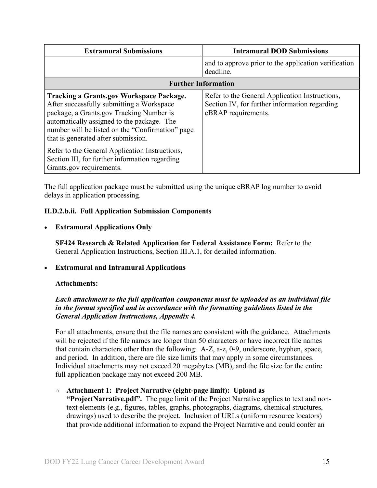| <b>Extramural Submissions</b>                                                                                                                                                                                                                                                                                                                                                                                     | <b>Intramural DOD Submissions</b>                                                                                      |  |
|-------------------------------------------------------------------------------------------------------------------------------------------------------------------------------------------------------------------------------------------------------------------------------------------------------------------------------------------------------------------------------------------------------------------|------------------------------------------------------------------------------------------------------------------------|--|
|                                                                                                                                                                                                                                                                                                                                                                                                                   | and to approve prior to the application verification<br>deadline.                                                      |  |
| <b>Further Information</b>                                                                                                                                                                                                                                                                                                                                                                                        |                                                                                                                        |  |
| <b>Tracking a Grants.gov Workspace Package.</b><br>After successfully submitting a Workspace<br>package, a Grants.gov Tracking Number is<br>automatically assigned to the package. The<br>number will be listed on the "Confirmation" page<br>that is generated after submission.<br>Refer to the General Application Instructions,<br>Section III, for further information regarding<br>Grants.gov requirements. | Refer to the General Application Instructions,<br>Section IV, for further information regarding<br>eBRAP requirements. |  |

The full application package must be submitted using the unique eBRAP log number to avoid delays in application processing.

#### <span id="page-14-0"></span>**II.D.2.b.ii. Full Application Submission Components**

#### • **Extramural Applications Only**

**SF424 Research & Related Application for Federal Assistance Form:** Refer to the General Application Instructions, Section III.A.1, for detailed information.

#### • **Extramural and Intramural Applications**

#### <span id="page-14-1"></span>**Attachments:**

#### *Each attachment to the full application components must be uploaded as an individual file in the format specified and in accordance with the formatting guidelines listed in the General Application Instructions, Appendix 4.*

For all attachments, ensure that the file names are consistent with the guidance. Attachments will be rejected if the file names are longer than 50 characters or have incorrect file names that contain characters other than the following: A-Z, a-z, 0-9, underscore, hyphen, space, and period. In addition, there are file size limits that may apply in some circumstances. Individual attachments may not exceed 20 megabytes (MB), and the file size for the entire full application package may not exceed 200 MB.

#### ○ **Attachment 1: Project Narrative (eight-page limit): Upload as**

**"ProjectNarrative.pdf".** The page limit of the Project Narrative applies to text and nontext elements (e.g., figures, tables, graphs, photographs, diagrams, chemical structures, drawings) used to describe the project. Inclusion of URLs (uniform resource locators) that provide additional information to expand the Project Narrative and could confer an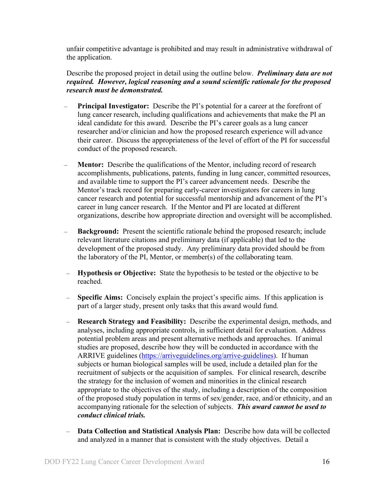unfair competitive advantage is prohibited and may result in administrative withdrawal of the application.

Describe the proposed project in detail using the outline below. *Preliminary data are not required. However, logical reasoning and a sound scientific rationale for the proposed research must be demonstrated.* 

- **Principal Investigator:** Describe the PI's potential for a career at the forefront of lung cancer research, including qualifications and achievements that make the PI an ideal candidate for this award. Describe the PI's career goals as a lung cancer researcher and/or clinician and how the proposed research experience will advance their career. Discuss the appropriateness of the level of effort of the PI for successful conduct of the proposed research.
- **Mentor:** Describe the qualifications of the Mentor, including record of research accomplishments, publications, patents, funding in lung cancer, committed resources, and available time to support the PI's career advancement needs. Describe the Mentor's track record for preparing early-career investigators for careers in lung cancer research and potential for successful mentorship and advancement of the PI's career in lung cancer research. If the Mentor and PI are located at different organizations, describe how appropriate direction and oversight will be accomplished.
- **Background:** Present the scientific rationale behind the proposed research; include relevant literature citations and preliminary data (if applicable) that led to the development of the proposed study. Any preliminary data provided should be from the laboratory of the PI, Mentor, or member(s) of the collaborating team.
- **Hypothesis or Objective:** State the hypothesis to be tested or the objective to be reached.
- **Specific Aims:** Concisely explain the project's specific aims. If this application is part of a larger study, present only tasks that this award would fund.
- **Research Strategy and Feasibility:** Describe the experimental design, methods, and analyses, including appropriate controls, in sufficient detail for evaluation. Address potential problem areas and present alternative methods and approaches. If animal studies are proposed, describe how they will be conducted in accordance with the ARRIVE guidelines [\(https://arriveguidelines.org/arrive-guidelines\)](https://arriveguidelines.org/arrive-guidelines). If human subjects or human biological samples will be used, include a detailed plan for the recruitment of subjects or the acquisition of samples. For clinical research, describe the strategy for the inclusion of women and minorities in the clinical research appropriate to the objectives of the study, including a description of the composition of the proposed study population in terms of sex/gender, race, and/or ethnicity, and an accompanying rationale for the selection of subjects. *This award cannot be used to conduct clinical trials.*
- **Data Collection and Statistical Analysis Plan:** Describe how data will be collected and analyzed in a manner that is consistent with the study objectives. Detail a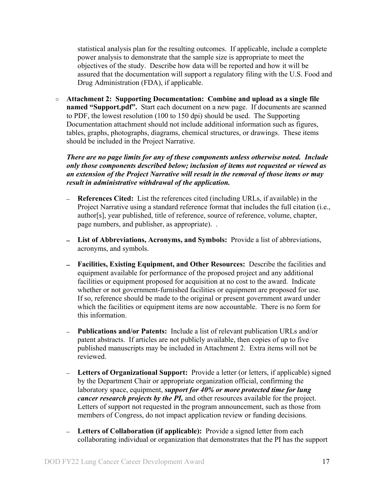statistical analysis plan for the resulting outcomes. If applicable, include a complete power analysis to demonstrate that the sample size is appropriate to meet the objectives of the study. Describe how data will be reported and how it will be assured that the documentation will support a regulatory filing with the U.S. Food and Drug Administration (FDA), if applicable.

○ **Attachment 2: Supporting Documentation: Combine and upload as a single file named "Support.pdf".** Start each document on a new page. If documents are scanned to PDF, the lowest resolution (100 to 150 dpi) should be used. The Supporting Documentation attachment should not include additional information such as figures, tables, graphs, photographs, diagrams, chemical structures, or drawings. These items should be included in the Project Narrative.

*There are no page limits for any of these components unless otherwise noted. Include only those components described below; inclusion of items not requested or viewed as an extension of the Project Narrative will result in the removal of those items or may result in administrative withdrawal of the application.*

- **References Cited:** List the references cited (including URLs, if available) in the Project Narrative using a standard reference format that includes the full citation (i.e., author[s], year published, title of reference, source of reference, volume, chapter, page numbers, and publisher, as appropriate). .
- **List of Abbreviations, Acronyms, and Symbols:** Provide a list of abbreviations, acronyms, and symbols.
- **Facilities, Existing Equipment, and Other Resources:** Describe the facilities and equipment available for performance of the proposed project and any additional facilities or equipment proposed for acquisition at no cost to the award. Indicate whether or not government-furnished facilities or equipment are proposed for use. If so, reference should be made to the original or present government award under which the facilities or equipment items are now accountable. There is no form for this information.
- **Publications and/or Patents:** Include a list of relevant publication URLs and/or patent abstracts. If articles are not publicly available, then copies of up to five published manuscripts may be included in Attachment 2. Extra items will not be reviewed.
- **Letters of Organizational Support:** Provide a letter (or letters, if applicable) signed by the Department Chair or appropriate organization official, confirming the laboratory space, equipment, *support for 40% or more protected time for lung cancer research projects by the PI*, and other resources available for the project. Letters of support not requested in the program announcement, such as those from members of Congress, do not impact application review or funding decisions.
- **Letters of Collaboration (if applicable):** Provide a signed letter from each collaborating individual or organization that demonstrates that the PI has the support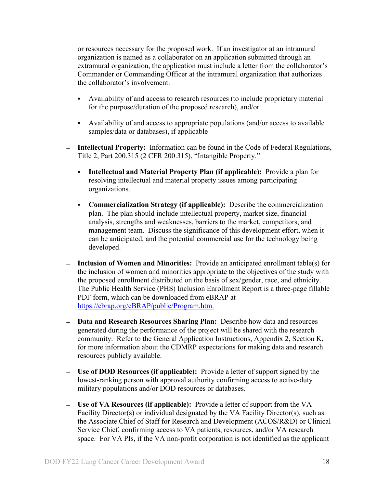or resources necessary for the proposed work. If an investigator at an intramural organization is named as a collaborator on an application submitted through an extramural organization, the application must include a letter from the collaborator's Commander or Commanding Officer at the intramural organization that authorizes the collaborator's involvement.

- Availability of and access to research resources (to include proprietary material for the purpose/duration of the proposed research), and/or
- Availability of and access to appropriate populations (and/or access to available samples/data or databases), if applicable
- **Intellectual Property:** Information can be found in the Code of Federal Regulations, Title 2, Part 200.315 (2 CFR 200.315), "Intangible Property."
	- **Intellectual and Material Property Plan (if applicable):** Provide a plan for resolving intellectual and material property issues among participating organizations.
	- **Commercialization Strategy (if applicable):** Describe the commercialization plan. The plan should include intellectual property, market size, financial analysis, strengths and weaknesses, barriers to the market, competitors, and management team. Discuss the significance of this development effort, when it can be anticipated, and the potential commercial use for the technology being developed.
- **Inclusion of Women and Minorities:** Provide an anticipated enrollment table(s) for the inclusion of women and minorities appropriate to the objectives of the study with the proposed enrollment distributed on the basis of sex/gender, race, and ethnicity. The Public Health Service (PHS) Inclusion Enrollment Report is a three-page fillable PDF form, which can be downloaded from eBRAP at [https://ebrap.org/eBRAP/public/Program.htm.](https://ebrap.org/eBRAP/public/Program.htm)
- **Data and Research Resources Sharing Plan:** Describe how data and resources generated during the performance of the project will be shared with the research community. Refer to the General Application Instructions, Appendix 2, Section K, for more information about the CDMRP expectations for making data and research resources publicly available.
- **Use of DOD Resources (if applicable):** Provide a letter of support signed by the lowest-ranking person with approval authority confirming access to active-duty military populations and/or DOD resources or databases.
- **Use of VA Resources (if applicable):** Provide a letter of support from the VA Facility Director(s) or individual designated by the VA Facility Director(s), such as the Associate Chief of Staff for Research and Development (ACOS/R&D) or Clinical Service Chief, confirming access to VA patients, resources, and/or VA research space. For VA PIs, if the VA non-profit corporation is not identified as the applicant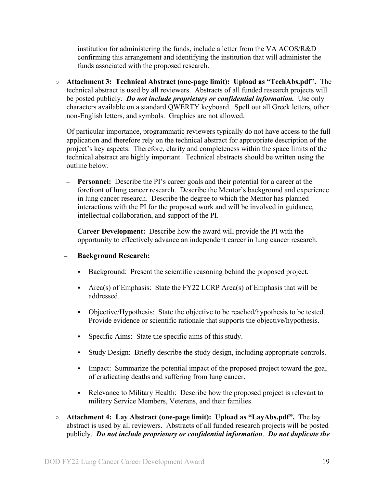institution for administering the funds, include a letter from the VA ACOS/R&D confirming this arrangement and identifying the institution that will administer the funds associated with the proposed research.

○ **Attachment 3: Technical Abstract (one-page limit): Upload as "TechAbs.pdf".** The technical abstract is used by all reviewers. Abstracts of all funded research projects will be posted publicly. *Do not include proprietary or confidential information.* Use only characters available on a standard QWERTY keyboard. Spell out all Greek letters, other non-English letters, and symbols. Graphics are not allowed.

Of particular importance, programmatic reviewers typically do not have access to the full application and therefore rely on the technical abstract for appropriate description of the project's key aspects. Therefore, clarity and completeness within the space limits of the technical abstract are highly important. Technical abstracts should be written using the outline below.

- **Personnel:** Describe the PI's career goals and their potential for a career at the forefront of lung cancer research. Describe the Mentor's background and experience in lung cancer research. Describe the degree to which the Mentor has planned interactions with the PI for the proposed work and will be involved in guidance, intellectual collaboration, and support of the PI.
- **Career Development:** Describe how the award will provide the PI with the opportunity to effectively advance an independent career in lung cancer research.
- **Background Research:**
	- Background: Present the scientific reasoning behind the proposed project.
	- Area(s) of Emphasis: State the FY22 LCRP Area(s) of Emphasis that will be addressed.
	- Objective/Hypothesis: State the objective to be reached/hypothesis to be tested. Provide evidence or scientific rationale that supports the objective/hypothesis.
	- Specific Aims: State the specific aims of this study.
	- Study Design: Briefly describe the study design, including appropriate controls.
	- Impact: Summarize the potential impact of the proposed project toward the goal of eradicating deaths and suffering from lung cancer.
	- Relevance to Military Health: Describe how the proposed project is relevant to military Service Members, Veterans, and their families.
- **Attachment 4: Lay Abstract (one-page limit): Upload as "LayAbs.pdf".** The lay abstract is used by all reviewers. Abstracts of all funded research projects will be posted publicly. *Do not include proprietary or confidential information*. *Do not duplicate the*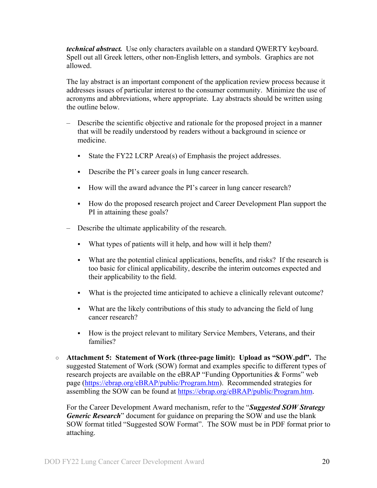*technical abstract.* Use only characters available on a standard QWERTY keyboard. Spell out all Greek letters, other non-English letters, and symbols. Graphics are not allowed.

The lay abstract is an important component of the application review process because it addresses issues of particular interest to the consumer community. Minimize the use of acronyms and abbreviations, where appropriate. Lay abstracts should be written using the outline below.

- Describe the scientific objective and rationale for the proposed project in a manner that will be readily understood by readers without a background in science or medicine.
	- State the FY22 LCRP Area(s) of Emphasis the project addresses.
	- Describe the PI's career goals in lung cancer research.
	- How will the award advance the PI's career in lung cancer research?
	- How do the proposed research project and Career Development Plan support the PI in attaining these goals?
- Describe the ultimate applicability of the research.
	- What types of patients will it help, and how will it help them?
	- What are the potential clinical applications, benefits, and risks? If the research is too basic for clinical applicability, describe the interim outcomes expected and their applicability to the field.
	- What is the projected time anticipated to achieve a clinically relevant outcome?
	- What are the likely contributions of this study to advancing the field of lung cancer research?
	- How is the project relevant to military Service Members, Veterans, and their families?
- **Attachment 5: Statement of Work (three-page limit): Upload as "SOW.pdf".** The suggested Statement of Work (SOW) format and examples specific to different types of research projects are available on the eBRAP "Funding Opportunities & Forms" web page [\(https://ebrap.org/eBRAP/public/Program.htm\)](https://ebrap.org/eBRAP/public/Program.htm). Recommended strategies for assembling the SOW can be found at [https://ebrap.org/eBRAP/public/Program.htm.](https://ebrap.org/eBRAP/public/Program.htm)

For the Career Development Award mechanism, refer to the "*Suggested SOW Strategy Generic Research*" document for guidance on preparing the SOW and use the blank SOW format titled "Suggested SOW Format". The SOW must be in PDF format prior to attaching.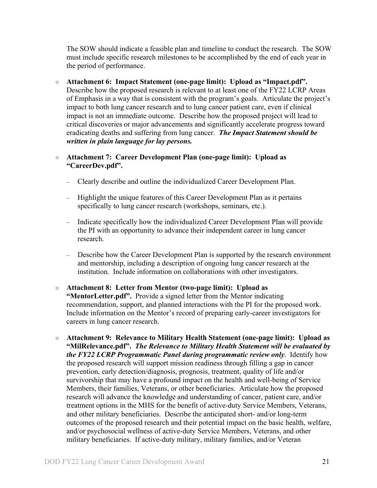The SOW should indicate a feasible plan and timeline to conduct the research. The SOW must include specific research milestones to be accomplished by the end of each year in the period of performance.

○ **Attachment 6: Impact Statement (one-page limit): Upload as "Impact.pdf".** Describe how the proposed research is relevant to at least one of the FY22 LCRP Areas of Emphasis in a way that is consistent with the program's goals. Articulate the project's impact to both lung cancer research and to lung cancer patient care, even if clinical impact is not an immediate outcome. Describe how the proposed project will lead to critical discoveries or major advancements and significantly accelerate progress toward eradicating deaths and suffering from lung cancer. *The Impact Statement should be written in plain language for lay persons.*

#### ○ **Attachment 7: Career Development Plan (one-page limit): Upload as "CareerDev.pdf".**

- Clearly describe and outline the individualized Career Development Plan.
- Highlight the unique features of this Career Development Plan as it pertains specifically to lung cancer research (workshops, seminars, etc.).
- Indicate specifically how the individualized Career Development Plan will provide the PI with an opportunity to advance their independent career in lung cancer research.
- Describe how the Career Development Plan is supported by the research environment and mentorship, including a description of ongoing lung cancer research at the institution. Include information on collaborations with other investigators.
- **Attachment 8: Letter from Mentor (two-page limit): Upload as "MentorLetter.pdf".** Provide a signed letter from the Mentor indicating recommendation, support, and planned interactions with the PI for the proposed work. Include information on the Mentor's record of preparing early-career investigators for careers in lung cancer research.
- **Attachment 9: Relevance to Military Health Statement (one-page limit): Upload as "MilRelevance.pdf".** *The Relevance to Military Health Statement will be evaluated by the FY22 LCRP Programmatic Panel during programmatic review only*. Identify how the proposed research will support mission readiness through filling a gap in cancer prevention, early detection/diagnosis, prognosis, treatment, quality of life and/or survivorship that may have a profound impact on the health and well-being of Service Members, their families, Veterans, or other beneficiaries. Articulate how the proposed research will advance the knowledge and understanding of cancer, patient care, and/or treatment options in the MHS for the benefit of active-duty Service Members, Veterans, and other military beneficiaries. Describe the anticipated short- and/or long-term outcomes of the proposed research and their potential impact on the basic health, welfare, and/or psychosocial wellness of active-duty Service Members, Veterans, and other military beneficiaries. If active-duty military, military families, and/or Veteran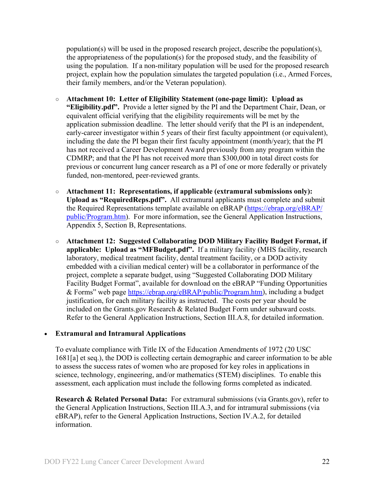population(s) will be used in the proposed research project, describe the population(s), the appropriateness of the population(s) for the proposed study, and the feasibility of using the population. If a non-military population will be used for the proposed research project, explain how the population simulates the targeted population (i.e., Armed Forces, their family members, and/or the Veteran population).

- **Attachment 10: Letter of Eligibility Statement (one-page limit): Upload as "Eligibility.pdf".** Provide a letter signed by the PI and the Department Chair, Dean, or equivalent official verifying that the eligibility requirements will be met by the application submission deadline. The letter should verify that the PI is an independent, early-career investigator within 5 years of their first faculty appointment (or equivalent), including the date the PI began their first faculty appointment (month/year); that the PI has not received a Career Development Award previously from any program within the CDMRP; and that the PI has not received more than \$300,000 in total direct costs for previous or concurrent lung cancer research as a PI of one or more federally or privately funded, non-mentored, peer-reviewed grants.
- **Attachment 11: Representations, if applicable (extramural submissions only): Upload as "RequiredReps.pdf".** All extramural applicants must complete and submit the Required Representations template available on eBRAP [\(https://ebrap.org/eBRAP/](https://ebrap.org/eBRAP/public/Program.htm) [public/Program.htm\)](https://ebrap.org/eBRAP/public/Program.htm). For more information, see the General Application Instructions, Appendix 5, Section B, Representations.
- <span id="page-21-1"></span>○ **Attachment 12: Suggested Collaborating DOD Military Facility Budget Format, if applicable: Upload as "MFBudget.pdf".** If a military facility (MHS facility, research laboratory, medical treatment facility, dental treatment facility, or a DOD activity embedded with a civilian medical center) will be a collaborator in performance of the project, complete a separate budget, using "Suggested Collaborating DOD Military Facility Budget Format", available for download on the eBRAP "Funding Opportunities & Forms" web page [https://ebrap.org/eBRAP/public/Program.htm\)](https://ebrap.org/eBRAP/public/Program.htm), including a budget justification, for each military facility as instructed. The costs per year should be included on the Grants.gov Research & Related Budget Form under subaward costs. Refer to the General Application Instructions, Section III.A.8, for detailed information.

#### • **Extramural and Intramural Applications**

To evaluate compliance with Title IX of the Education Amendments of 1972 (20 USC 1681[a] et seq.), the DOD is collecting certain demographic and career information to be able to assess the success rates of women who are proposed for key roles in applications in science, technology, engineering, and/or mathematics (STEM) disciplines. To enable this assessment, each application must include the following forms completed as indicated.

<span id="page-21-0"></span>**Research & Related Personal Data:** For extramural submissions (via Grants.gov), refer to the General Application Instructions, Section III.A.3, and for intramural submissions (via eBRAP), refer to the General Application Instructions, Section IV.A.2, for detailed information.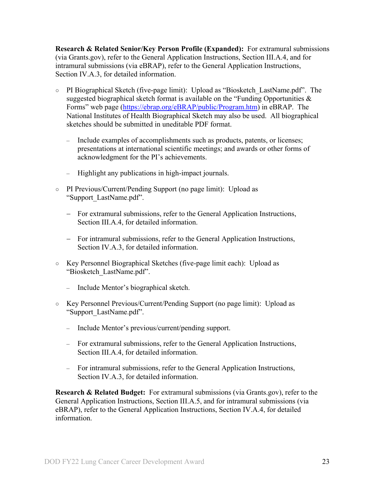<span id="page-22-0"></span>**Research & Related Senior/Key Person Profile (Expanded):** For extramural submissions (via Grants.gov), refer to the General Application Instructions, Section III.A.4, and for intramural submissions (via eBRAP), refer to the General Application Instructions, Section IV.A.3, for detailed information.

- PI Biographical Sketch (five-page limit): Upload as "Biosketch\_LastName.pdf". The suggested biographical sketch format is available on the "Funding Opportunities  $\&$ Forms" web page [\(https://ebrap.org/eBRAP/public/Program.htm\)](https://ebrap.org/eBRAP/public/Program.htm) in eBRAP. The National Institutes of Health Biographical Sketch may also be used. All biographical sketches should be submitted in uneditable PDF format.
	- Include examples of accomplishments such as products, patents, or licenses; presentations at international scientific meetings; and awards or other forms of acknowledgment for the PI's achievements.
	- Highlight any publications in high-impact journals.
- PI Previous/Current/Pending Support (no page limit): Upload as "Support\_LastName.pdf".
	- − For extramural submissions, refer to the General Application Instructions, Section III.A.4, for detailed information.
	- − For intramural submissions, refer to the General Application Instructions, Section IV.A.3, for detailed information.
- Key Personnel Biographical Sketches (five-page limit each): Upload as "Biosketch\_LastName.pdf".
	- Include Mentor's biographical sketch.
- Key Personnel Previous/Current/Pending Support (no page limit): Upload as "Support\_LastName.pdf".
	- Include Mentor's previous/current/pending support.
	- For extramural submissions, refer to the General Application Instructions, Section III.A.4, for detailed information.
	- For intramural submissions, refer to the General Application Instructions, Section IV.A.3, for detailed information.

<span id="page-22-1"></span>**Research & Related Budget:** For extramural submissions (via Grants.gov), refer to the General Application Instructions, Section III.A.5, and for intramural submissions (via eBRAP), refer to the General Application Instructions, Section IV.A.4, for detailed information.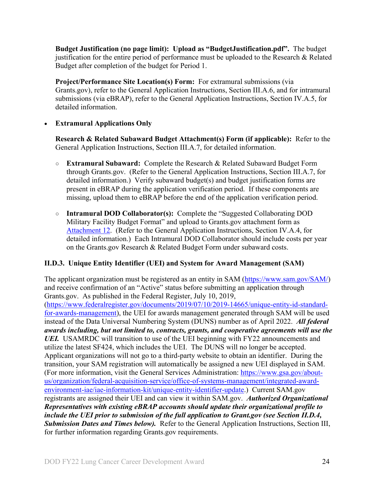**Budget Justification (no page limit): Upload as "BudgetJustification.pdf".** The budget justification for the entire period of performance must be uploaded to the Research & Related Budget after completion of the budget for Period 1.

<span id="page-23-1"></span>**Project/Performance Site Location(s) Form:** For extramural submissions (via Grants.gov), refer to the General Application Instructions, Section III.A.6, and for intramural submissions (via eBRAP), refer to the General Application Instructions, Section IV.A.5, for detailed information.

#### • **Extramural Applications Only**

<span id="page-23-2"></span>**Research & Related Subaward Budget Attachment(s) Form (if applicable):** Refer to the General Application Instructions, Section III.A.7, for detailed information.

- **Extramural Subaward:** Complete the Research & Related Subaward Budget Form through Grants.gov. (Refer to the General Application Instructions, Section III.A.7, for detailed information.) Verify subaward budget(s) and budget justification forms are present in eBRAP during the application verification period. If these components are missing, upload them to eBRAP before the end of the application verification period.
- **Intramural DOD Collaborator(s):** Complete the "Suggested Collaborating DOD Military Facility Budget Format" and upload to Grants.gov attachment form as [Attachment 12.](#page-21-1) (Refer to the General Application Instructions, Section IV.A.4, for detailed information.) Each Intramural DOD Collaborator should include costs per year on the Grants.gov Research & Related Budget Form under subaward costs.

#### <span id="page-23-0"></span>**II.D.3. Unique Entity Identifier (UEI) and System for Award Management (SAM)**

The applicant organization must be registered as an entity in SAM [\(https://www.sam.gov/SAM/\)](https://www.sam.gov/SAM/) and receive confirmation of an "Active" status before submitting an application through Grants.gov. As published in the Federal Register, July 10, 2019, [\(https://www.federalregister.gov/documents/2019/07/10/2019-14665/unique-entity-id-standard](https://www.federalregister.gov/documents/2019/07/10/2019-14665/unique-entity-id-standard-for-awards-management)[for-awards-management\)](https://www.federalregister.gov/documents/2019/07/10/2019-14665/unique-entity-id-standard-for-awards-management), the UEI for awards management generated through SAM will be used instead of the Data Universal Numbering System (DUNS) number as of April 2022. *All federal awards including, but not limited to, contracts, grants, and cooperative agreements will use the UEI.* USAMRDC will transition to use of the UEI beginning with FY22 announcements and utilize the latest SF424, which includes the UEI. The DUNS will no longer be accepted. Applicant organizations will not go to a third-party website to obtain an identifier. During the transition, your SAM registration will automatically be assigned a new UEI displayed in SAM. (For more information, visit the General Services Administration: [https://www.gsa.gov/about](https://www.gsa.gov/about-us/organization/federal-acquisition-service/office-of-systems-management/integrated-award-environment-iae/iae-information-kit/unique-entity-identifier-update)[us/organization/federal-acquisition-service/office-of-systems-management/integrated-award](https://www.gsa.gov/about-us/organization/federal-acquisition-service/office-of-systems-management/integrated-award-environment-iae/iae-information-kit/unique-entity-identifier-update)[environment-iae/iae-information-kit/unique-entity-identifier-update.](https://www.gsa.gov/about-us/organization/federal-acquisition-service/office-of-systems-management/integrated-award-environment-iae/iae-information-kit/unique-entity-identifier-update)) Current SAM.gov registrants are assigned their UEI and can view it within SAM.gov. *Authorized Organizational Representatives with existing eBRAP accounts should update their organizational profile to include the UEI prior to submission of the full application to Grant.gov (see Section II.D.4, Submission Dates and Times below).* Refer to the General Application Instructions, Section III, for further information regarding Grants.gov requirements.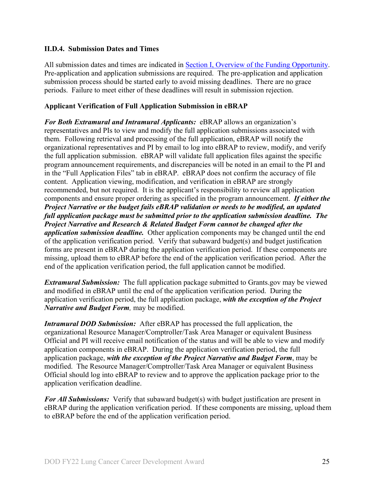#### <span id="page-24-0"></span>**II.D.4. Submission Dates and Times**

All submission dates and times are indicated in [Section I, Overview of the Funding Opportunity.](#page-0-1) Pre-application and application submissions are required. The pre-application and application submission process should be started early to avoid missing deadlines. There are no grace periods. Failure to meet either of these deadlines will result in submission rejection.

#### <span id="page-24-1"></span>**Applicant Verification of Full Application Submission in eBRAP**

*For Both Extramural and Intramural Applicants:* eBRAP allows an organization's representatives and PIs to view and modify the full application submissions associated with them. Following retrieval and processing of the full application, eBRAP will notify the organizational representatives and PI by email to log into eBRAP to review, modify, and verify the full application submission. eBRAP will validate full application files against the specific program announcement requirements, and discrepancies will be noted in an email to the PI and in the "Full Application Files" tab in eBRAP. eBRAP does not confirm the accuracy of file content. Application viewing, modification, and verification in eBRAP are strongly recommended, but not required. It is the applicant's responsibility to review all application components and ensure proper ordering as specified in the program announcement. *If either the Project Narrative or the budget fails eBRAP validation or needs to be modified, an updated full application package must be submitted prior to the application submission deadline. The Project Narrative and Research & Related Budget Form cannot be changed after the application submission deadline.* Other application components may be changed until the end of the [application verification period.](#page-0-0) Verify that subaward budget(s) and budget justification forms are present in eBRAP during the application verification period. If these components are missing, upload them to eBRAP before the end of the application verification period. After the end of the application verification period, the full application cannot be modified.

*Extramural Submission:* The full application package submitted to Grants.gov may be viewed and modified in eBRAP until the end of the application verification period. During the application verification period, the full application package, *with the exception of the Project Narrative and Budget Form,* may be modified.

*Intramural DOD Submission:* After eBRAP has processed the full application, the organizational Resource Manager/Comptroller/Task Area Manager or equivalent Business Official and PI will receive email notification of the status and will be able to view and modify application components in eBRAP. During the application verification period, the full application package, *with the exception of the Project Narrative and Budget Form*, may be modified. The Resource Manager/Comptroller/Task Area Manager or equivalent Business Official should log into eBRAP to review and to approve the application package prior to the application verification deadline.

*For All Submissions:* Verify that subaward budget(s) with budget justification are present in eBRAP during the application verification period. If these components are missing, upload them to eBRAP before the end of the application verification period.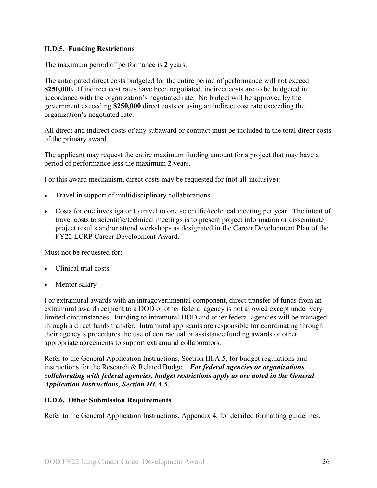#### <span id="page-25-0"></span>**II.D.5. Funding Restrictions**

The maximum period of performance is **2** years.

The anticipated direct costs budgeted for the entire period of performance will not exceed **\$250,000.** If indirect cost rates have been negotiated, indirect costs are to be budgeted in accordance with the organization's negotiated rate. No budget will be approved by the government exceeding **\$250,000** direct costs or using an indirect cost rate exceeding the organization's negotiated rate.

All direct and indirect costs of any subaward or contract must be included in the total direct costs of the primary award.

The applicant may request the entire maximum funding amount for a project that may have a period of performance less the maximum **2** years.

For this award mechanism, direct costs may be requested for (not all-inclusive):

- Travel in support of multidisciplinary collaborations.
- Costs for one investigator to travel to one scientific/technical meeting per year. The intent of travel costs to scientific/technical meetings is to present project information or disseminate project results and/or attend workshops as designated in the Career Development Plan of the FY22 LCRP Career Development Award.

Must not be requested for:

- Clinical trial costs
- Mentor salary

For extramural awards with an intragovernmental component, direct transfer of funds from an extramural award recipient to a DOD or other federal agency is not allowed except under very limited circumstances. Funding to intramural DOD and other federal agencies will be managed through a direct funds transfer. Intramural applicants are responsible for coordinating through their agency's procedures the use of contractual or assistance funding awards or other appropriate agreements to support extramural collaborators.

Refer to the General Application Instructions, Section III.A.5, for budget regulations and instructions for the Research & Related Budget. *For federal agencies or organizations collaborating with federal agencies, budget restrictions apply as are noted in the General Application Instructions, Section III.A.5***.**

#### <span id="page-25-1"></span>**II.D.6. Other Submission Requirements**

Refer to the General Application Instructions, Appendix 4, for detailed formatting guidelines.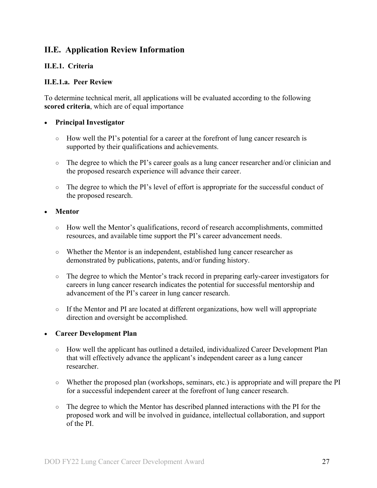### <span id="page-26-0"></span>**II.E. Application Review Information**

#### <span id="page-26-1"></span>**II.E.1. Criteria**

#### **II.E.1.a. Peer Review**

To determine technical merit, all applications will be evaluated according to the following **scored criteria**, which are of equal importance

#### • **Principal Investigator**

- $\circ$  How well the PI's potential for a career at the forefront of lung cancer research is supported by their qualifications and achievements.
- The degree to which the PI's career goals as a lung cancer researcher and/or clinician and the proposed research experience will advance their career.
- The degree to which the PI's level of effort is appropriate for the successful conduct of the proposed research.

#### • **Mentor**

- How well the Mentor's qualifications, record of research accomplishments, committed resources, and available time support the PI's career advancement needs.
- Whether the Mentor is an independent, established lung cancer researcher as demonstrated by publications, patents, and/or funding history.
- The degree to which the Mentor's track record in preparing early-career investigators for careers in lung cancer research indicates the potential for successful mentorship and advancement of the PI's career in lung cancer research.
- If the Mentor and PI are located at different organizations, how well will appropriate direction and oversight be accomplished.

#### • **Career Development Plan**

- How well the applicant has outlined a detailed, individualized Career Development Plan that will effectively advance the applicant's independent career as a lung cancer researcher.
- Whether the proposed plan (workshops, seminars, etc.) is appropriate and will prepare the PI for a successful independent career at the forefront of lung cancer research.
- The degree to which the Mentor has described planned interactions with the PI for the proposed work and will be involved in guidance, intellectual collaboration, and support of the PI.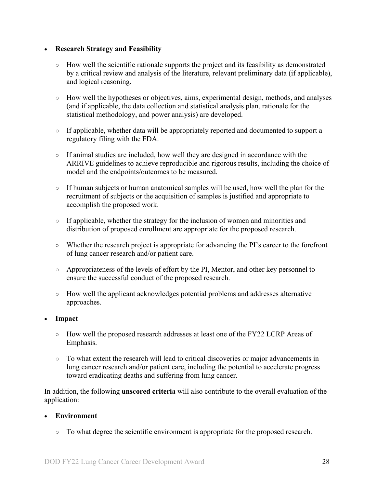#### • **Research Strategy and Feasibility**

- How well the scientific rationale supports the project and its feasibility as demonstrated by a critical review and analysis of the literature, relevant preliminary data (if applicable), and logical reasoning.
- How well the hypotheses or objectives, aims, experimental design, methods, and analyses (and if applicable, the data collection and statistical analysis plan, rationale for the statistical methodology, and power analysis) are developed.
- If applicable, whether data will be appropriately reported and documented to support a regulatory filing with the FDA.
- If animal studies are included, how well they are designed in accordance with the ARRIVE guidelines to achieve reproducible and rigorous results, including the choice of model and the endpoints/outcomes to be measured.
- $\circ$  If human subjects or human anatomical samples will be used, how well the plan for the recruitment of subjects or the acquisition of samples is justified and appropriate to accomplish the proposed work.
- If applicable, whether the strategy for the inclusion of women and minorities and distribution of proposed enrollment are appropriate for the proposed research.
- Whether the research project is appropriate for advancing the PI's career to the forefront of lung cancer research and/or patient care.
- Appropriateness of the levels of effort by the PI, Mentor, and other key personnel to ensure the successful conduct of the proposed research.
- How well the applicant acknowledges potential problems and addresses alternative approaches.

#### • **Impact**

- How well the proposed research addresses at least one of the FY22 LCRP Areas of Emphasis.
- To what extent the research will lead to critical discoveries or major advancements in lung cancer research and/or patient care, including the potential to accelerate progress toward eradicating deaths and suffering from lung cancer.

In addition, the following **unscored criteria** will also contribute to the overall evaluation of the application:

#### • **Environment**

○ To what degree the scientific environment is appropriate for the proposed research.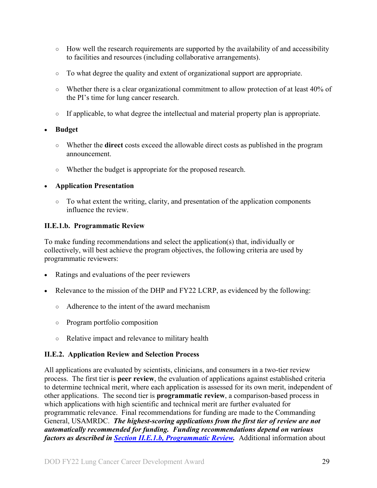- How well the research requirements are supported by the availability of and accessibility to facilities and resources (including collaborative arrangements).
- To what degree the quality and extent of organizational support are appropriate.
- Whether there is a clear organizational commitment to allow protection of at least 40% of the PI's time for lung cancer research.
- If applicable, to what degree the intellectual and material property plan is appropriate.

#### • **Budget**

- Whether the **direct** costs exceed the allowable direct costs as published in the program announcement.
- Whether the budget is appropriate for the proposed research.

#### • **Application Presentation**

 $\circ$  To what extent the writing, clarity, and presentation of the application components influence the review.

#### <span id="page-28-1"></span>**II.E.1.b. Programmatic Review**

To make funding recommendations and select the application(s) that, individually or collectively, will best achieve the program objectives, the following criteria are used by programmatic reviewers:

- Ratings and evaluations of the peer reviewers
- Relevance to the mission of the DHP and FY22 LCRP, as evidenced by the following:
	- Adherence to the intent of the award mechanism
	- Program portfolio composition
	- Relative impact and relevance to military health

#### <span id="page-28-0"></span>**II.E.2. Application Review and Selection Process**

All applications are evaluated by scientists, clinicians, and consumers in a two-tier review process. The first tier is **peer review**, the evaluation of applications against established criteria to determine technical merit, where each application is assessed for its own merit, independent of other applications. The second tier is **programmatic review**, a comparison-based process in which applications with high scientific and technical merit are further evaluated for programmatic relevance. Final recommendations for funding are made to the Commanding General, USAMRDC. *The highest-scoring applications from the first tier of review are not automatically recommended for funding. Funding recommendations depend on various factors as described in Section [II.E.1.b, Programmatic Review.](#page-28-1)* Additional information about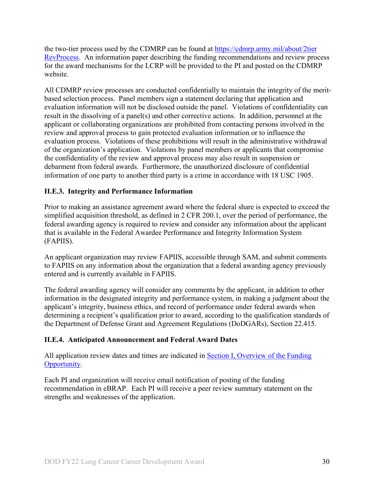the two-tier process used by the CDMRP can be found at [https://cdmrp.army.mil/about/2tier](https://cdmrp.army.mil/about/2tierRevProcess) [RevProcess.](https://cdmrp.army.mil/about/2tierRevProcess) An information paper describing the funding recommendations and review process for the award mechanisms for the LCRP will be provided to the PI and posted on the CDMRP website.

All CDMRP review processes are conducted confidentially to maintain the integrity of the meritbased selection process. Panel members sign a statement declaring that application and evaluation information will not be disclosed outside the panel. Violations of confidentiality can result in the dissolving of a panel(s) and other corrective actions. In addition, personnel at the applicant or collaborating organizations are prohibited from contacting persons involved in the review and approval process to gain protected evaluation information or to influence the evaluation process. Violations of these prohibitions will result in the administrative withdrawal of the organization's application. Violations by panel members or applicants that compromise the confidentiality of the review and approval process may also result in suspension or debarment from federal awards. Furthermore, the unauthorized disclosure of confidential information of one party to another third party is a crime in accordance with 18 USC 1905.

#### <span id="page-29-0"></span>**II.E.3. Integrity and Performance Information**

Prior to making an assistance agreement award where the federal share is expected to exceed the simplified acquisition threshold, as defined in 2 CFR 200.1, over the period of performance, the federal awarding agency is required to review and consider any information about the applicant that is available in the Federal Awardee Performance and Integrity Information System (FAPIIS).

An applicant organization may review FAPIIS, accessible through SAM, and submit comments to FAPIIS on any information about the organization that a federal awarding agency previously entered and is currently available in FAPIIS.

The federal awarding agency will consider any comments by the applicant, in addition to other information in the designated integrity and performance system, in making a judgment about the applicant's integrity, business ethics, and record of performance under federal awards when determining a recipient's qualification prior to award, according to the qualification standards of the Department of Defense Grant and Agreement Regulations (DoDGARs), Section 22.415.

#### <span id="page-29-1"></span>**II.E.4. Anticipated Announcement and Federal Award Dates**

All application review dates and times are indicated in [Section I, Overview of the Funding](#page-0-1)  [Opportunity.](#page-0-1)

Each PI and organization will receive email notification of posting of the funding recommendation in eBRAP. Each PI will receive a peer review summary statement on the strengths and weaknesses of the application.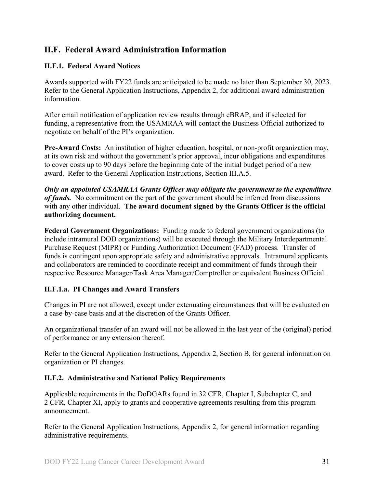### <span id="page-30-0"></span>**II.F. Federal Award Administration Information**

#### <span id="page-30-1"></span>**II.F.1. Federal Award Notices**

Awards supported with FY22 funds are anticipated to be made no later than September 30, 2023. Refer to the General Application Instructions, Appendix 2, for additional award administration information.

After email notification of application review results through eBRAP, and if selected for funding, a representative from the USAMRAA will contact the Business Official authorized to negotiate on behalf of the PI's organization.

**Pre-Award Costs:** An institution of higher education, hospital, or non-profit organization may, at its own risk and without the government's prior approval, incur obligations and expenditures to cover costs up to 90 days before the beginning date of the initial budget period of a new award. Refer to the General Application Instructions, Section III.A.5.

*Only an appointed USAMRAA Grants Officer may obligate the government to the expenditure of funds.* No commitment on the part of the government should be inferred from discussions with any other individual. **The award document signed by the Grants Officer is the official authorizing document.**

**Federal Government Organizations:**Funding made to federal government organizations (to include intramural DOD organizations) will be executed through the Military Interdepartmental Purchase Request (MIPR) or Funding Authorization Document (FAD) process. Transfer of funds is contingent upon appropriate safety and administrative approvals. Intramural applicants and collaborators are reminded to coordinate receipt and commitment of funds through their respective Resource Manager/Task Area Manager/Comptroller or equivalent Business Official.

#### **II.F.1.a. PI Changes and Award Transfers**

Changes in PI are not allowed, except under extenuating circumstances that will be evaluated on a case-by-case basis and at the discretion of the Grants Officer.

An organizational transfer of an award will not be allowed in the last year of the (original) period of performance or any extension thereof.

Refer to the General Application Instructions, Appendix 2, Section B, for general information on organization or PI changes.

#### <span id="page-30-2"></span>**II.F.2. Administrative and National Policy Requirements**

Applicable requirements in the DoDGARs found in 32 CFR, Chapter I, Subchapter C, and 2 CFR, Chapter XI, apply to grants and cooperative agreements resulting from this program announcement.

Refer to the General Application Instructions, Appendix 2, for general information regarding administrative requirements.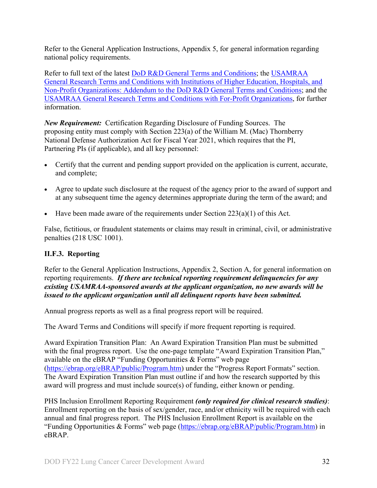Refer to the General Application Instructions, Appendix 5, for general information regarding national policy requirements.

Refer to full text of the latest DoD [R&D General Terms and Conditions;](https://www.onr.navy.mil/work-with-us/manage-your-award/manage-grant-award/grants-terms-conditions) the [USAMRAA](https://www.usamraa.army.mil/Pages/Resources.aspx)  [General Research Terms and Conditions with Institutions of Higher Education, Hospitals, and](https://www.usamraa.army.mil/Pages/Resources.aspx)  [Non-Profit Organizations: Addendum to the DoD](https://www.usamraa.army.mil/Pages/Resources.aspx) R&D General Terms and Conditions; and the [USAMRAA General Research Terms and Conditions with For-Profit Organizations,](https://www.usamraa.army.mil/Pages/Resources.aspx) for further information.

*New Requirement:* Certification Regarding Disclosure of Funding Sources. The proposing entity must comply with Section 223(a) of the William M. (Mac) Thornberry National Defense Authorization Act for Fiscal Year 2021, which requires that the PI, Partnering PIs (if applicable), and all key personnel:

- Certify that the current and pending support provided on the application is current, accurate, and complete;
- Agree to update such disclosure at the request of the agency prior to the award of support and at any subsequent time the agency determines appropriate during the term of the award; and
- Have been made aware of the requirements under Section  $223(a)(1)$  of this Act.

False, fictitious, or fraudulent statements or claims may result in criminal, civil, or administrative penalties (218 USC 1001).

#### <span id="page-31-0"></span>**II.F.3. Reporting**

Refer to the General Application Instructions, Appendix 2, Section A, for general information on reporting requirements. *If there are technical reporting requirement delinquencies for any existing USAMRAA-sponsored awards at the applicant organization, no new awards will be issued to the applicant organization until all delinquent reports have been submitted.*

Annual progress reports as well as a final progress report will be required.

The Award Terms and Conditions will specify if more frequent reporting is required.

Award Expiration Transition Plan: An Award Expiration Transition Plan must be submitted with the final progress report. Use the one-page template "Award Expiration Transition Plan," available on the eBRAP "Funding Opportunities & Forms" web page [\(https://ebrap.org/eBRAP/public/Program.htm\)](https://ebrap.org/eBRAP/public/Program.htm) under the "Progress Report Formats" section. The Award Expiration Transition Plan must outline if and how the research supported by this award will progress and must include source(s) of funding, either known or pending.

PHS Inclusion Enrollment Reporting Requirement *(only required for clinical research studies)*: Enrollment reporting on the basis of sex/gender, race, and/or ethnicity will be required with each annual and final progress report. The PHS Inclusion Enrollment Report is available on the "Funding Opportunities & Forms" web page [\(https://ebrap.org/eBRAP/public/Program.htm\)](https://ebrap.org/eBRAP/public/Program.htm) in eBRAP.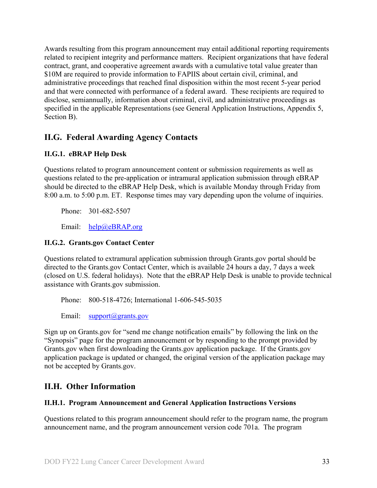Awards resulting from this program announcement may entail additional reporting requirements related to recipient integrity and performance matters. Recipient organizations that have federal contract, grant, and cooperative agreement awards with a cumulative total value greater than \$10M are required to provide information to FAPIIS about certain civil, criminal, and administrative proceedings that reached final disposition within the most recent 5-year period and that were connected with performance of a federal award. These recipients are required to disclose, semiannually, information about criminal, civil, and administrative proceedings as specified in the applicable Representations (see General Application Instructions, Appendix 5, Section B).

### <span id="page-32-0"></span>**II.G. Federal Awarding Agency Contacts**

#### <span id="page-32-1"></span>**II.G.1. eBRAP Help Desk**

Questions related to program announcement content or submission requirements as well as questions related to the pre-application or intramural application submission through eBRAP should be directed to the eBRAP Help Desk, which is available Monday through Friday from 8:00 a.m. to 5:00 p.m. ET. Response times may vary depending upon the volume of inquiries.

Phone: 301-682-5507

Email: [help@eBRAP.org](mailto:help@eBRAP.org)

#### <span id="page-32-2"></span>**II.G.2. Grants.gov Contact Center**

Questions related to extramural application submission through Grants.gov portal should be directed to the Grants.gov Contact Center, which is available 24 hours a day, 7 days a week (closed on U.S. federal holidays). Note that the eBRAP Help Desk is unable to provide technical assistance with Grants.gov submission.

Phone: 800-518-4726; International 1-606-545-5035

Email: [support@grants.gov](mailto:support@grants.gov)

Sign up on Grants.gov for "send me change notification emails" by following the link on the "Synopsis" page for the program announcement or by responding to the prompt provided by Grants.gov when first downloading the Grants.gov application package. If the Grants.gov application package is updated or changed, the original version of the application package may not be accepted by Grants.gov.

## <span id="page-32-3"></span>**II.H. Other Information**

#### <span id="page-32-4"></span>**II.H.1. Program Announcement and General Application Instructions Versions**

Questions related to this program announcement should refer to the program name, the program announcement name, and the program announcement version code 701a. The program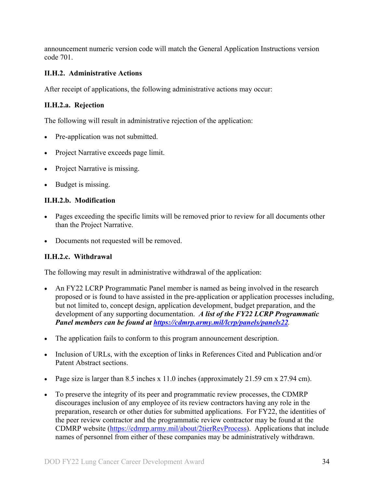announcement numeric version code will match the General Application Instructions version code 701.

#### <span id="page-33-0"></span>**II.H.2. Administrative Actions**

After receipt of applications, the following administrative actions may occur:

#### **II.H.2.a. Rejection**

The following will result in administrative rejection of the application:

- Pre-application was not submitted.
- Project Narrative exceeds page limit.
- **Project Narrative is missing.**
- Budget is missing.

#### **II.H.2.b. Modification**

- Pages exceeding the specific limits will be removed prior to review for all documents other than the Project Narrative.
- Documents not requested will be removed.

#### <span id="page-33-1"></span>**II.H.2.c. Withdrawal**

The following may result in administrative withdrawal of the application:

- An FY22 LCRP Programmatic Panel member is named as being involved in the research proposed or is found to have assisted in the pre-application or application processes including, but not limited to, concept design, application development, budget preparation, and the development of any supporting documentation. *A list of the FY22 LCRP Programmatic Panel members can be found at<https://cdmrp.army.mil/lcrp/panels/panels22>.*
- The application fails to conform to this program announcement description.
- Inclusion of URLs, with the exception of links in References Cited and Publication and/or Patent Abstract sections.
- Page size is larger than 8.5 inches x 11.0 inches (approximately 21.59 cm x 27.94 cm).
- To preserve the integrity of its peer and programmatic review processes, the CDMRP discourages inclusion of any employee of its review contractors having any role in the preparation, research or other duties for submitted applications. For FY22, the identities of the peer review contractor and the programmatic review contractor may be found at the CDMRP website [\(https://cdmrp.army.mil/about/2tierRevProcess\)](https://cdmrp.army.mil/about/2tierRevProcess). Applications that include names of personnel from either of these companies may be administratively withdrawn.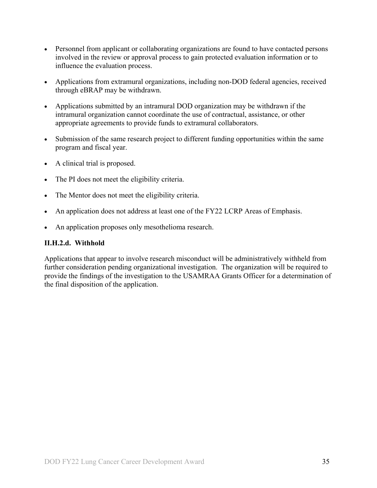- Personnel from applicant or collaborating organizations are found to have contacted persons involved in the review or approval process to gain protected evaluation information or to influence the evaluation process.
- Applications from extramural organizations, including non-DOD federal agencies, received through eBRAP may be withdrawn.
- Applications submitted by an intramural DOD organization may be withdrawn if the intramural organization cannot coordinate the use of contractual, assistance, or other appropriate agreements to provide funds to extramural collaborators.
- Submission of the same research project to different funding opportunities within the same program and fiscal year.
- A clinical trial is proposed.
- The PI does not meet the eligibility criteria.
- The Mentor does not meet the eligibility criteria.
- An application does not address at least one of the FY22 LCRP Areas of Emphasis.
- An application proposes only mesothelioma research.

#### **II.H.2.d. Withhold**

Applications that appear to involve research misconduct will be administratively withheld from further consideration pending organizational investigation. The organization will be required to provide the findings of the investigation to the USAMRAA Grants Officer for a determination of the final disposition of the application.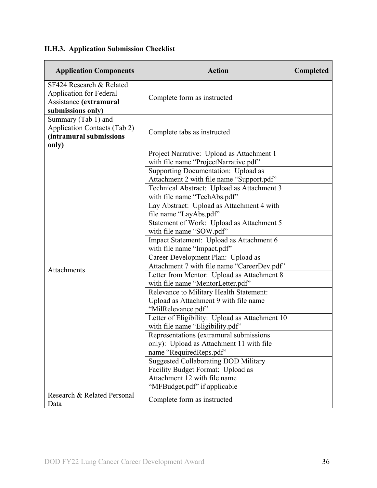# <span id="page-35-0"></span>**II.H.3. Application Submission Checklist**

| <b>Application Components</b>                                                                             | <b>Action</b>                                                                                                                                    | Completed |
|-----------------------------------------------------------------------------------------------------------|--------------------------------------------------------------------------------------------------------------------------------------------------|-----------|
| SF424 Research & Related<br><b>Application for Federal</b><br>Assistance (extramural<br>submissions only) | Complete form as instructed                                                                                                                      |           |
| Summary (Tab 1) and<br><b>Application Contacts (Tab 2)</b><br>(intramural submissions<br>only)            | Complete tabs as instructed                                                                                                                      |           |
|                                                                                                           | Project Narrative: Upload as Attachment 1<br>with file name "ProjectNarrative.pdf"<br>Supporting Documentation: Upload as                        |           |
|                                                                                                           | Attachment 2 with file name "Support.pdf"<br>Technical Abstract: Upload as Attachment 3<br>with file name "TechAbs.pdf"                          |           |
|                                                                                                           | Lay Abstract: Upload as Attachment 4 with<br>file name "LayAbs.pdf"                                                                              |           |
|                                                                                                           | Statement of Work: Upload as Attachment 5<br>with file name "SOW.pdf"                                                                            |           |
|                                                                                                           | Impact Statement: Upload as Attachment 6<br>with file name "Impact.pdf"                                                                          |           |
| Attachments                                                                                               | Career Development Plan: Upload as<br>Attachment 7 with file name "CareerDev.pdf"                                                                |           |
|                                                                                                           | Letter from Mentor: Upload as Attachment 8<br>with file name "MentorLetter.pdf"                                                                  |           |
|                                                                                                           | Relevance to Military Health Statement:<br>Upload as Attachment 9 with file name<br>"MilRelevance.pdf"                                           |           |
|                                                                                                           | Letter of Eligibility: Upload as Attachment 10<br>with file name "Eligibility.pdf"                                                               |           |
|                                                                                                           | Representations (extramural submissions<br>only): Upload as Attachment 11 with file<br>name "RequiredReps.pdf"                                   |           |
|                                                                                                           | <b>Suggested Collaborating DOD Military</b><br>Facility Budget Format: Upload as<br>Attachment 12 with file name<br>"MFBudget.pdf" if applicable |           |
| Research & Related Personal<br>Data                                                                       | Complete form as instructed                                                                                                                      |           |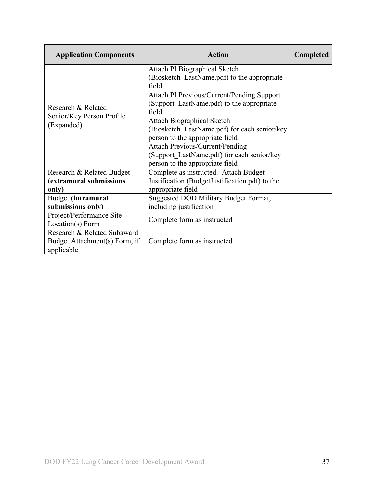| <b>Application Components</b>                                              | <b>Action</b>                                                                                                           | <b>Completed</b> |
|----------------------------------------------------------------------------|-------------------------------------------------------------------------------------------------------------------------|------------------|
|                                                                            | Attach PI Biographical Sketch<br>(Biosketch LastName.pdf) to the appropriate<br>field                                   |                  |
| Research & Related                                                         | Attach PI Previous/Current/Pending Support<br>(Support LastName.pdf) to the appropriate<br>field                        |                  |
| Senior/Key Person Profile<br>(Expanded)                                    | <b>Attach Biographical Sketch</b><br>(Biosketch LastName.pdf) for each senior/key<br>person to the appropriate field    |                  |
|                                                                            | <b>Attach Previous/Current/Pending</b><br>(Support LastName.pdf) for each senior/key<br>person to the appropriate field |                  |
| Research & Related Budget<br>(extramural submissions<br>only)              | Complete as instructed. Attach Budget<br>Justification (BudgetJustification.pdf) to the<br>appropriate field            |                  |
| Budget (intramural<br>submissions only)                                    | Suggested DOD Military Budget Format,<br>including justification                                                        |                  |
| Project/Performance Site<br>Location(s) Form                               | Complete form as instructed                                                                                             |                  |
| Research & Related Subaward<br>Budget Attachment(s) Form, if<br>applicable | Complete form as instructed                                                                                             |                  |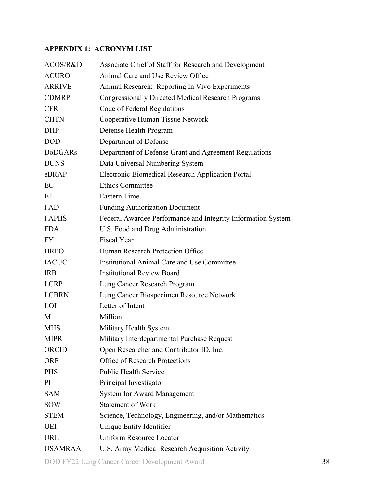### <span id="page-37-0"></span>**APPENDIX 1: ACRONYM LIST**

| ACOS/R&D       | Associate Chief of Staff for Research and Development        |
|----------------|--------------------------------------------------------------|
| <b>ACURO</b>   | Animal Care and Use Review Office                            |
| <b>ARRIVE</b>  | Animal Research: Reporting In Vivo Experiments               |
| <b>CDMRP</b>   | <b>Congressionally Directed Medical Research Programs</b>    |
| <b>CFR</b>     | Code of Federal Regulations                                  |
| <b>CHTN</b>    | Cooperative Human Tissue Network                             |
| <b>DHP</b>     | Defense Health Program                                       |
| <b>DOD</b>     | Department of Defense                                        |
| <b>DoDGARs</b> | Department of Defense Grant and Agreement Regulations        |
| <b>DUNS</b>    | Data Universal Numbering System                              |
| eBRAP          | Electronic Biomedical Research Application Portal            |
| EC             | <b>Ethics Committee</b>                                      |
| ET             | <b>Eastern Time</b>                                          |
| FAD            | <b>Funding Authorization Document</b>                        |
| <b>FAPIIS</b>  | Federal Awardee Performance and Integrity Information System |
| <b>FDA</b>     | U.S. Food and Drug Administration                            |
| <b>FY</b>      | <b>Fiscal Year</b>                                           |
| <b>HRPO</b>    | Human Research Protection Office                             |
| <b>IACUC</b>   | Institutional Animal Care and Use Committee                  |
| <b>IRB</b>     | <b>Institutional Review Board</b>                            |
| <b>LCRP</b>    | Lung Cancer Research Program                                 |
| <b>LCBRN</b>   | Lung Cancer Biospecimen Resource Network                     |
| LOI            | Letter of Intent                                             |
| M              | Million                                                      |
| <b>MHS</b>     | Military Health System                                       |
| <b>MIPR</b>    | Military Interdepartmental Purchase Request                  |
| <b>ORCID</b>   | Open Researcher and Contributor ID, Inc.                     |
| <b>ORP</b>     | <b>Office of Research Protections</b>                        |
| <b>PHS</b>     | <b>Public Health Service</b>                                 |
| PI             | Principal Investigator                                       |
| <b>SAM</b>     | <b>System for Award Management</b>                           |
| <b>SOW</b>     | <b>Statement of Work</b>                                     |
| <b>STEM</b>    | Science, Technology, Engineering, and/or Mathematics         |
| <b>UEI</b>     | Unique Entity Identifier                                     |
| <b>URL</b>     | <b>Uniform Resource Locator</b>                              |
| <b>USAMRAA</b> | U.S. Army Medical Research Acquisition Activity              |